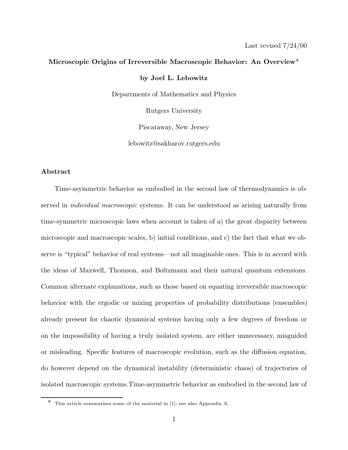### **Microscopic Origins of Irreversible Macroscopic Behavior: An Overview**\*

**by Joel L. Lebowitz**

Departments of Mathematics and Physics

Rutgers University

Piscataway, New Jersey

lebowitz@sakharov.rutgers.edu

# **Abstract**

Time-asymmetric behavior as embodied in the second law of thermodynamics is observed in individual macroscopic systems. It can be understood as arising naturally from time-symmetric microscopic laws when account is taken of a) the great disparity between microscopic and macroscopic scales, b) initial conditions, and c) the fact that what we observe is "typical" behavior of real systems—not all imaginable ones. This is in accord with the ideas of Maxwell, Thomson, and Boltzmann and their natural quantum extensions. Common alternate explanations, such as those based on equating irreversible macroscopic behavior with the ergodic or mixing properties of probability distributions (ensembles) already present for chaotic dynamical systems having only a few degrees of freedom or on the impossibility of having a truly isolated system, are either unnecessary, misguided or misleading. Specific features of macroscopic evolution, such as the diffusion equation, do however depend on the dynamical instability (deterministic chaos) of trajectories of isolated macroscopic systems.Time-asymmetric behavior as embodied in the second law of

<sup>\*</sup> This article summarizes some of the material in [1]; see also Appendix A.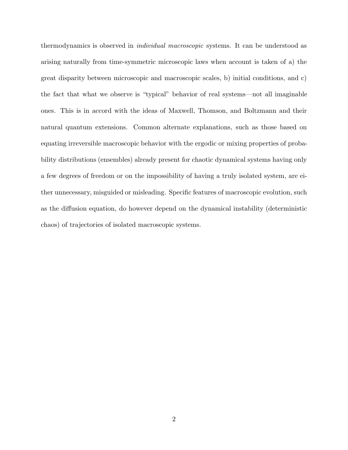thermodynamics is observed in individual macroscopic systems. It can be understood as arising naturally from time-symmetric microscopic laws when account is taken of a) the great disparity between microscopic and macroscopic scales, b) initial conditions, and c) the fact that what we observe is "typical" behavior of real systems—not all imaginable ones. This is in accord with the ideas of Maxwell, Thomson, and Boltzmann and their natural quantum extensions. Common alternate explanations, such as those based on equating irreversible macroscopic behavior with the ergodic or mixing properties of probability distributions (ensembles) already present for chaotic dynamical systems having only a few degrees of freedom or on the impossibility of having a truly isolated system, are either unnecessary, misguided or misleading. Specific features of macroscopic evolution, such as the diffusion equation, do however depend on the dynamical instability (deterministic chaos) of trajectories of isolated macroscopic systems.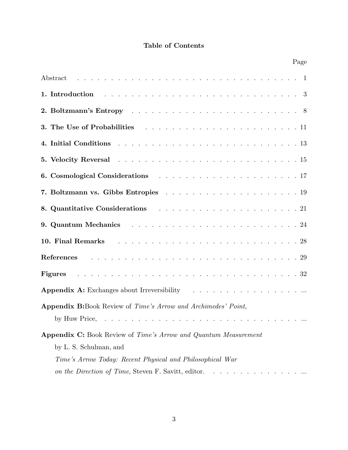# **Table of Contents**

|                                                                                                                                                          |  |  |  |  |  |  |  |  |  | Page |
|----------------------------------------------------------------------------------------------------------------------------------------------------------|--|--|--|--|--|--|--|--|--|------|
|                                                                                                                                                          |  |  |  |  |  |  |  |  |  |      |
| 1. Introduction $\ldots \ldots \ldots \ldots \ldots \ldots \ldots \ldots \ldots \ldots \ldots \ldots \ldots 3$                                           |  |  |  |  |  |  |  |  |  |      |
|                                                                                                                                                          |  |  |  |  |  |  |  |  |  |      |
|                                                                                                                                                          |  |  |  |  |  |  |  |  |  |      |
| 4. Initial Conditions $\ldots \ldots \ldots \ldots \ldots \ldots \ldots \ldots \ldots \ldots \ldots \ldots 13$                                           |  |  |  |  |  |  |  |  |  |      |
| 5. Velocity Reversal resources resources resources a services and 15                                                                                     |  |  |  |  |  |  |  |  |  |      |
|                                                                                                                                                          |  |  |  |  |  |  |  |  |  |      |
|                                                                                                                                                          |  |  |  |  |  |  |  |  |  |      |
| 8. Quantitative Considerations (all example 20 and the constant of the considerations) and consider the constant of the constant of the constant of $21$ |  |  |  |  |  |  |  |  |  |      |
| 9. Quantum Mechanics $\ldots \ldots \ldots \ldots \ldots \ldots \ldots \ldots \ldots \ldots 24$                                                          |  |  |  |  |  |  |  |  |  |      |
| 10. Final Remarks and all the contract of the contract of the Remarks and all the contract of the contract of $28$                                       |  |  |  |  |  |  |  |  |  |      |
|                                                                                                                                                          |  |  |  |  |  |  |  |  |  |      |
|                                                                                                                                                          |  |  |  |  |  |  |  |  |  |      |
| Appendix A: Exchanges about Irreversibility $\cdots \cdots \cdots \cdots \cdots \cdots \cdots$                                                           |  |  |  |  |  |  |  |  |  |      |
| <b>Appendix B:</b> Book Review of Time's Arrow and Archimedes' Point,                                                                                    |  |  |  |  |  |  |  |  |  |      |
| by Huw Price,                                                                                                                                            |  |  |  |  |  |  |  |  |  |      |
| <b>Appendix C:</b> Book Review of Time's Arrow and Quantum Measurement<br>by L. S. Schulman, and                                                         |  |  |  |  |  |  |  |  |  |      |
| Time's Arrow Today: Recent Physical and Philosophical War                                                                                                |  |  |  |  |  |  |  |  |  |      |
| on the Direction of Time, Steven F. Savitt, editor.                                                                                                      |  |  |  |  |  |  |  |  |  |      |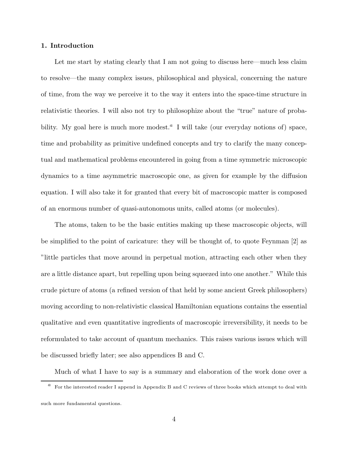# **1. Introduction**

Let me start by stating clearly that I am not going to discuss here—much less claim to resolve—the many complex issues, philosophical and physical, concerning the nature of time, from the way we perceive it to the way it enters into the space-time structure in relativistic theories. I will also not try to philosophize about the "true" nature of probability. My goal here is much more modest.<sup> $a$ </sup> I will take (our everyday notions of) space, time and probability as primitive undefined concepts and try to clarify the many conceptual and mathematical problems encountered in going from a time symmetric microscopic dynamics to a time asymmetric macroscopic one, as given for example by the diffusion equation. I will also take it for granted that every bit of macroscopic matter is composed of an enormous number of quasi-autonomous units, called atoms (or molecules).

The atoms, taken to be the basic entities making up these macroscopic objects, will be simplified to the point of caricature: they will be thought of, to quote Feynman [2] as "little particles that move around in perpetual motion, attracting each other when they are a little distance apart, but repelling upon being squeezed into one another." While this crude picture of atoms (a refined version of that held by some ancient Greek philosophers) moving according to non-relativistic classical Hamiltonian equations contains the essential qualitative and even quantitative ingredients of macroscopic irreversibility, it needs to be reformulated to take account of quantum mechanics. This raises various issues which will be discussed briefly later; see also appendices B and C.

Much of what I have to say is a summary and elaboration of the work done over a

 $a$  For the interested reader I append in Appendix B and C reviews of three books which attempt to deal with such more fundamental questions.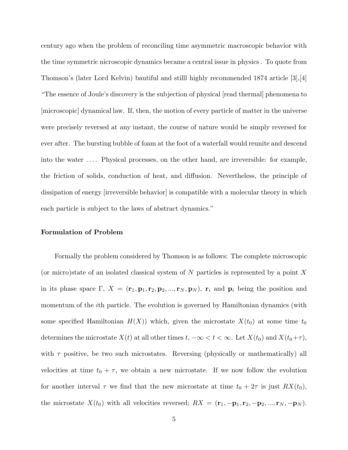century ago when the problem of reconciling time asymmetric macroscopic behavior with the time symmetric nicroscopic dynamics became a central issue in physics . To quote from Thomson's (later Lord Kelvin) bautiful and stilll highly recommended 1874 article [3],[4] "The essence of Joule's discovery is the subjection of physical [read thermal] phenomena to [microscopic] dynamical law. If, then, the motion of every particle of matter in the universe were precisely reversed at any instant, the course of nature would be simply reversed for ever after. The bursting bubble of foam at the foot of a waterfall would reunite and descend into the water ... . Physical processes, on the other hand, are irreversible: for example, the friction of solids, conduction of heat, and diffusion. Nevertheless, the principle of dissipation of energy [irreversible behavior] is compatible with a molecular theory in which each particle is subject to the laws of abstract dynamics."

### **Formulation of Problem**

Formally the problem considered by Thomson is as follows: The complete microscopic (or micro)state of an isolated classical system of N particles is represented by a point X in its phase space  $\Gamma$ ,  $X = (\mathbf{r}_1, \mathbf{p}_1, \mathbf{r}_2, \mathbf{p}_2, ..., \mathbf{r}_N, \mathbf{p}_N)$ ,  $\mathbf{r}_i$  and  $\mathbf{p}_i$  being the position and momentum of the ith particle. The evolution is governed by Hamiltonian dynamics (with some specified Hamiltonian  $H(X)$ ) which, given the microstate  $X(t_0)$  at some time  $t_0$ determines the microstate  $X(t)$  at all other times  $t, -\infty < t < \infty$ . Let  $X(t_0)$  and  $X(t_0+\tau)$ , with  $\tau$  positive, be two such microstates. Reversing (physically or mathematically) all velocities at time  $t_0 + \tau$ , we obtain a new microstate. If we now follow the evolution for another interval  $\tau$  we find that the new microstate at time  $t_0 + 2\tau$  is just  $RX(t_0)$ , the microstate  $X(t_0)$  with all velocities reversed;  $RX = (\mathbf{r}_1, -\mathbf{p}_1, \mathbf{r}_2, -\mathbf{p}_2, ..., \mathbf{r}_N, -\mathbf{p}_N)$ .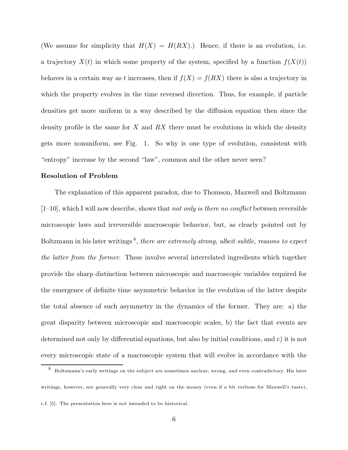(We assume for simplicity that  $H(X) = H(RX)$ .) Hence, if there is an evolution, i.e. a trajectory  $X(t)$  in which some property of the system, specified by a function  $f(X(t))$ behaves in a certain way as t increases, then if  $f(X) = f(RX)$  there is also a trajectory in which the property evolves in the time reversed direction. Thus, for example, if particle densities get more uniform in a way described by the diffusion equation then since the density profile is the same for X and  $RX$  there must be evolutions in which the density gets more nonuniform, see Fig. 1. So why is one type of evolution, consistent with "entropy" increase by the second "law", common and the other never seen?

#### **Resolution of Problem**

The explanation of this apparent paradox, due to Thomson, Maxwell and Boltzmann  $[1–10]$ , which I will now describe, shows that not only is there no conflict between reversible microscopic laws and irreversible macroscopic behavior, but, as clearly pointed out by Boltzmann in his later writings  $\bar{b}$ , there are extremely strong, albeit subtle, reasons to expect the latter from the former. These involve several interrelated ingredients which together provide the sharp distinction between microscopic and macroscopic variables required for the emergence of definite time asymmetric behavior in the evolution of the latter despite the total absence of such asymmetry in the dynamics of the former. They are: a) the great disparity between microscopic and macroscopic scales, b) the fact that events are determined not only by differential equations, but also by initial conditions, and c) it is not every microscopic state of a macroscopic system that will evolve in accordance with the

<sup>b</sup> Boltzmann's early writings on the subject are sometimes unclear, wrong, and even contradictory. His later writings, however, are generally very clear and right on the money (even if a bit verbose for Maxwell's taste), c.f. [5]. The presentation here is not intended to be historical.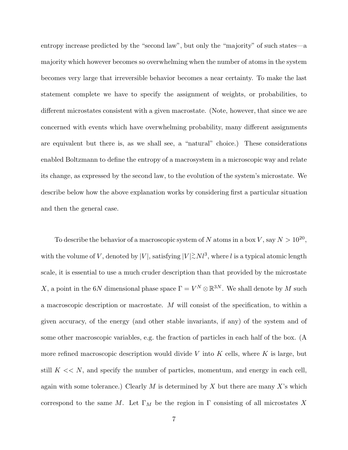entropy increase predicted by the "second law", but only the "majority" of such states—a majority which however becomes so overwhelming when the number of atoms in the system becomes very large that irreversible behavior becomes a near certainty. To make the last statement complete we have to specify the assignment of weights, or probabilities, to different microstates consistent with a given macrostate. (Note, however, that since we are concerned with events which have overwhelming probability, many different assignments are equivalent but there is, as we shall see, a "natural" choice.) These considerations enabled Boltzmann to define the entropy of a macrosystem in a microscopic way and relate its change, as expressed by the second law, to the evolution of the system's microstate. We describe below how the above explanation works by considering first a particular situation and then the general case.

To describe the behavior of a macroscopic system of N atoms in a box V, say  $N > 10^{20}$ , with the volume of V, denoted by  $|V|$ , satisfying  $|V| \gtrsim Nl^3$ , where l is a typical atomic length scale, it is essential to use a much cruder description than that provided by the microstate X, a point in the 6N dimensional phase space  $\Gamma = V^N \otimes \mathbb{R}^{3N}$ . We shall denote by M such a macroscopic description or macrostate. M will consist of the specification, to within a given accuracy, of the energy (and other stable invariants, if any) of the system and of some other macroscopic variables, e.g. the fraction of particles in each half of the box. (A more refined macroscopic description would divide V into K cells, where K is large, but still  $K \ll N$ , and specify the number of particles, momentum, and energy in each cell, again with some tolerance.) Clearly M is determined by X but there are many X's which correspond to the same M. Let  $\Gamma_M$  be the region in  $\Gamma$  consisting of all microstates X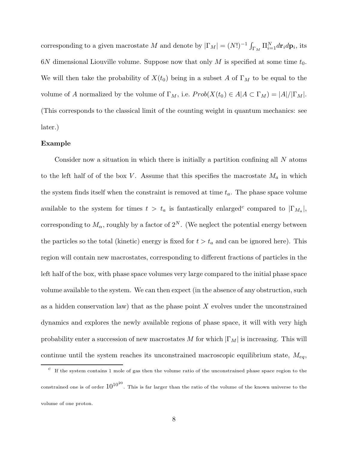corresponding to a given macrostate M and denote by  $|\Gamma_M| = (N!)^{-1} \int_{\Gamma_M} \Pi_{i=1}^N d\mathbf{p}_i$ , its  $6N$  dimensional Liouville volume. Suppose now that only M is specified at some time  $t_0$ . We will then take the probability of  $X(t_0)$  being in a subset A of  $\Gamma_M$  to be equal to the volume of A normalized by the volume of  $\Gamma_M$ , i.e.  $Prob(X(t_0) \in A | A \subset \Gamma_M) = |A|/|\Gamma_M|$ . (This corresponds to the classical limit of the counting weight in quantum mechanics: see later.)

### **Example**

Consider now a situation in which there is initially a partition confining all N atoms to the left half of of the box V. Assume that this specifies the macrostate  $M_a$  in which the system finds itself when the constraint is removed at time  $t_a$ . The phase space volume available to the system for times  $t > t_a$  is fantastically enlarged<sup>c</sup> compared to  $|\Gamma_{M_a}|$ , corresponding to  $M_{\alpha}$ , roughly by a factor of  $2^N$ . (We neglect the potential energy between the particles so the total (kinetic) energy is fixed for  $t>t_a$  and can be ignored here). This region will contain new macrostates, corresponding to different fractions of particles in the left half of the box, with phase space volumes very large compared to the initial phase space volume available to the system. We can then expect (in the absence of any obstruction, such as a hidden conservation law) that as the phase point  $X$  evolves under the unconstrained dynamics and explores the newly available regions of phase space, it will with very high probability enter a succession of new macrostates M for which  $|\Gamma_M|$  is increasing. This will continue until the system reaches its unconstrained macroscopic equilibrium state,  $M_{eq}$ ,

 $c<sup>c</sup>$  If the system contains 1 mole of gas then the volume ratio of the unconstrained phase space region to the constrained one is of order  $10^{10^{20}}$ . This is far larger than the ratio of the volume of the known universe to the volume of one proton.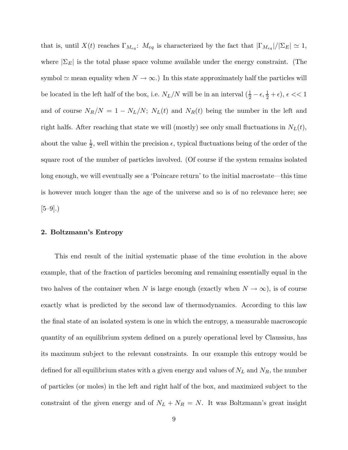that is, until  $X(t)$  reaches  $\Gamma_{M_{eq}}$ :  $M_{eq}$  is characterized by the fact that  $|\Gamma_{M_{eq}}|/|\Sigma_E| \simeq 1$ , where  $|\Sigma_E|$  is the total phase space volume available under the energy constraint. (The symbol  $\simeq$  mean equality when  $N \to \infty$ .) In this state approximately half the particles will be located in the left half of the box, i.e.  $N_L/N$  will be in an interval  $(\frac{1}{2} - \epsilon, \frac{1}{2} + \epsilon)$ ,  $\epsilon \ll 1$ and of course  $N_R/N = 1 - N_L/N$ ;  $N_L(t)$  and  $N_R(t)$  being the number in the left and right halfs. After reaching that state we will (mostly) see only small fluctuations in  $N<sub>L</sub>(t)$ , about the value  $\frac{1}{2}$ , well within the precision  $\epsilon$ , typical fluctuations being of the order of the square root of the number of particles involved. (Of course if the system remains isolated long enough, we will eventually see a 'Poincare return' to the initial macrostate—this time is however much longer than the age of the universe and so is of no relevance here; see  $[5-9]$ .)

### **2. Boltzmann's Entropy**

This end result of the initial systematic phase of the time evolution in the above example, that of the fraction of particles becoming and remaining essentially equal in the two halves of the container when N is large enough (exactly when  $N \to \infty$ ), is of course exactly what is predicted by the second law of thermodynamics. According to this law the final state of an isolated system is one in which the entropy, a measurable macroscopic quantity of an equilibrium system defined on a purely operational level by Claussius, has its maximum subject to the relevant constraints. In our example this entropy would be defined for all equilibrium states with a given energy and values of  $N_L$  and  $N_R$ , the number of particles (or moles) in the left and right half of the box, and maximized subject to the constraint of the given energy and of  $N_L + N_R = N$ . It was Boltzmann's great insight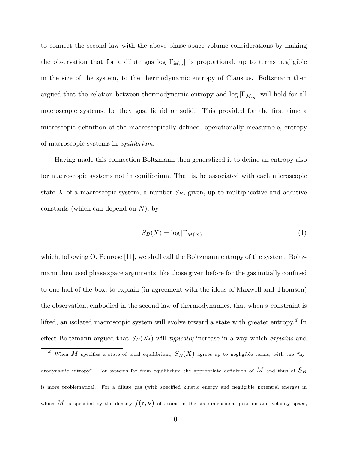to connect the second law with the above phase space volume considerations by making the observation that for a dilute gas  $\log |\Gamma_{M_{eq}}|$  is proportional, up to terms negligible in the size of the system, to the thermodynamic entropy of Clausius. Boltzmann then argued that the relation between thermodynamic entropy and  $\log |\Gamma_{M_{eq}}|$  will hold for all macroscopic systems; be they gas, liquid or solid. This provided for the first time a microscopic definition of the macroscopically defined, operationally measurable, entropy of macroscopic systems in equilibrium.

Having made this connection Boltzmann then generalized it to define an entropy also for macroscopic systems not in equilibrium. That is, he associated with each microscopic state X of a macroscopic system, a number  $S_B$ , given, up to multiplicative and additive constants (which can depend on  $N$ ), by

$$
S_B(X) = \log |\Gamma_{M(X)}|.\tag{1}
$$

which, following O. Penrose [11], we shall call the Boltzmann entropy of the system. Boltzmann then used phase space arguments, like those given before for the gas initially confined to one half of the box, to explain (in agreement with the ideas of Maxwell and Thomson) the observation, embodied in the second law of thermodynamics, that when a constraint is lifted, an isolated macroscopic system will evolve toward a state with greater entropy.<sup>d</sup> In effect Boltzmann argued that  $S_B(X_t)$  will *typically* increase in a way which *explains* and

<sup>&</sup>lt;sup>d</sup> When M specifies a state of local equilibrium,  $S_B(X)$  agrees up to negligible terms, with the "hydrodynamic entropy". For systems far from equilibrium the appropriate definition of  $M$  and thus of  $S_B$ is more problematical. For a dilute gas (with specified kinetic energy and negligible potential energy) in which M is specified by the density  $f(\mathbf{r}, \mathbf{v})$  of atoms in the six dimensional position and velocity space,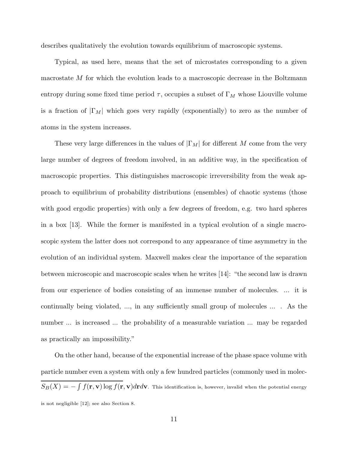describes qualitatively the evolution towards equilibrium of macroscopic systems.

Typical, as used here, means that the set of microstates corresponding to a given macrostate M for which the evolution leads to a macroscopic decrease in the Boltzmann entropy during some fixed time period  $\tau$ , occupies a subset of  $\Gamma_M$  whose Liouville volume is a fraction of  $|\Gamma_M|$  which goes very rapidly (exponentially) to zero as the number of atoms in the system increases.

These very large differences in the values of  $|\Gamma_M|$  for different M come from the very large number of degrees of freedom involved, in an additive way, in the specification of macroscopic properties. This distinguishes macroscopic irreversibility from the weak approach to equilibrium of probability distributions (ensembles) of chaotic systems (those with good ergodic properties) with only a few degrees of freedom, e.g. two hard spheres in a box [13]. While the former is manifested in a typical evolution of a single macroscopic system the latter does not correspond to any appearance of time asymmetry in the evolution of an individual system. Maxwell makes clear the importance of the separation between microscopic and macroscopic scales when he writes [14]: "the second law is drawn from our experience of bodies consisting of an immense number of molecules. ... it is continually being violated, ..., in any sufficiently small group of molecules ... . As the number ... is increased ... the probability of a measurable variation ... may be regarded as practically an impossibility."

On the other hand, because of the exponential increase of the phase space volume with particle number even a system with only a few hundred particles (commonly used in molec- $S_B(X) = -\int f(\mathbf{r}, \mathbf{v}) \log f(\mathbf{r}, \mathbf{v}) d\mathbf{r} d\mathbf{v}$ . This identification is, however, invalid when the potential energy is not negligible [12]; see also Section 8.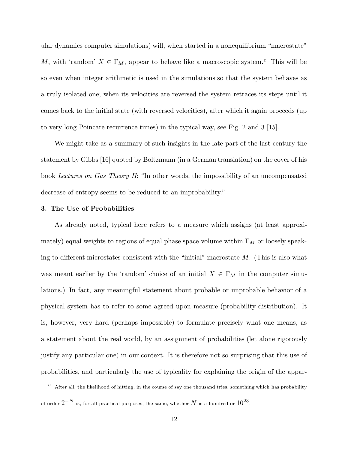ular dynamics computer simulations) will, when started in a nonequilibrium "macrostate" M, with 'random'  $X \in \Gamma_M$ , appear to behave like a macroscopic system.<sup>e</sup> This will be so even when integer arithmetic is used in the simulations so that the system behaves as a truly isolated one; when its velocities are reversed the system retraces its steps until it comes back to the initial state (with reversed velocities), after which it again proceeds (up to very long Poincare recurrence times) in the typical way, see Fig. 2 and 3 [15].

We might take as a summary of such insights in the late part of the last century the statement by Gibbs [16] quoted by Boltzmann (in a German translation) on the cover of his book Lectures on Gas Theory II: "In other words, the impossibility of an uncompensated decrease of entropy seems to be reduced to an improbability."

#### **3. The Use of Probabilities**

As already noted, typical here refers to a measure which assigns (at least approximately) equal weights to regions of equal phase space volume within  $\Gamma_M$  or loosely speaking to different microstates consistent with the "initial" macrostate  $M$ . (This is also what was meant earlier by the 'random' choice of an initial  $X \in \Gamma_M$  in the computer simulations.) In fact, any meaningful statement about probable or improbable behavior of a physical system has to refer to some agreed upon measure (probability distribution). It is, however, very hard (perhaps impossible) to formulate precisely what one means, as a statement about the real world, by an assignment of probabilities (let alone rigorously justify any particular one) in our context. It is therefore not so surprising that this use of probabilities, and particularly the use of typicality for explaining the origin of the appar-

 $^e$  After all, the likelihood of hitting, in the course of say one thousand tries, something which has probability of order  $2^{-N}$  is, for all practical purposes, the same, whether N is a hundred or  $10^{23}$ .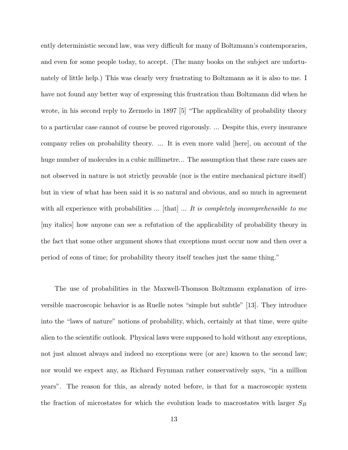ently deterministic second law, was very difficult for many of Boltzmann's contemporaries, and even for some people today, to accept. (The many books on the subject are unfortunately of little help.) This was clearly very frustrating to Boltzmann as it is also to me. I have not found any better way of expressing this frustration than Boltzmann did when he wrote, in his second reply to Zermelo in 1897 [5] "The applicability of probability theory to a particular case cannot of course be proved rigorously. ... Despite this, every insurance company relies on probability theory. ... It is even more valid [here], on account of the huge number of molecules in a cubic millimetre... The assumption that these rare cases are not observed in nature is not strictly provable (nor is the entire mechanical picture itself) but in view of what has been said it is so natural and obvious, and so much in agreement with all experience with probabilities  $\dots$  [that]  $\dots$  *It is completely incomprehensible to me* [my italics] how anyone can see a refutation of the applicability of probability theory in the fact that some other argument shows that exceptions must occur now and then over a period of eons of time; for probability theory itself teaches just the same thing."

The use of probabilities in the Maxwell-Thomson Boltzmann explanation of irreversible macroscopic behavior is as Ruelle notes "simple but subtle" [13]. They introduce into the "laws of nature" notions of probability, which, certainly at that time, were quite alien to the scientific outlook. Physical laws were supposed to hold without any exceptions, not just almost always and indeed no exceptions were (or are) known to the second law; nor would we expect any, as Richard Feynman rather conservatively says, "in a million years". The reason for this, as already noted before, is that for a macroscopic system the fraction of microstates for which the evolution leads to macrostates with larger  $S_B$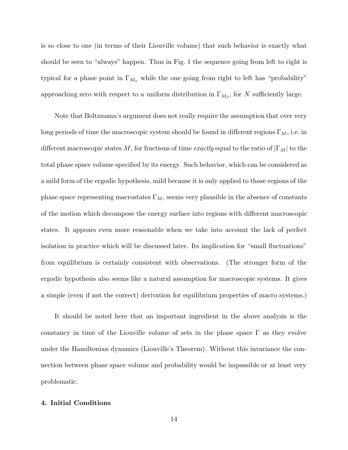is so close to one (in terms of their Liouville volume) that such behavior is exactly what should be seen to "always" happen. Thus in Fig. 1 the sequence going from left to right is typical for a phase point in  $\Gamma_{M_a}$  while the one going from right to left has "probability" approaching zero with respect to a uniform distribution in  $\Gamma_{M_d}$ , for N sufficiently large.

Note that Boltzmann's argument does not really require the assumption that over very long periods of time the macroscopic system should be found in different regions  $\Gamma_M$ , i.e. in different macroscopic states M, for fractions of time exactly equal to the ratio of  $|\Gamma_M|$  to the total phase space volume specified by its energy. Such behavior, which can be considered as a mild form of the ergodic hypothesis, mild because it is only applied to those regions of the phase space representing macrostates  $\Gamma_M$ , seems very plausible in the absence of constants of the motion which decompose the energy surface into regions with different macroscopic states. It appears even more reasonable when we take into account the lack of perfect isolation in practice which will be discussed later. Its implication for "small fluctuations" from equilibrium is certainly consistent with observations. (The stronger form of the ergodic hypothesis also seems like a natural assumption for macroscopic systems. It gives a simple (even if not the correct) derivation for equilibrium properties of macro systems.)

It should be noted here that an important ingredient in the above analysis is the constancy in time of the Liouville volume of sets in the phase space  $\Gamma$  as they evolve under the Hamiltonian dynamics (Liouville's Theorem). Without this invariance the connection between phase space volume and probability would be impossible or at least very problematic.

# **4. Initial Conditions**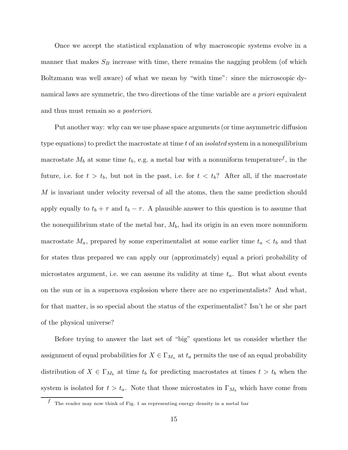Once we accept the statistical explanation of why macroscopic systems evolve in a manner that makes  $S_B$  increase with time, there remains the nagging problem (of which Boltzmann was well aware) of what we mean by "with time": since the microscopic dynamical laws are symmetric, the two directions of the time variable are a priori equivalent and thus must remain so a posteriori.

Put another way: why can we use phase space arguments (or time asymmetric diffusion type equations) to predict the macrostate at time t of an *isolated* system in a nonequilibrium macrostate  $M_b$  at some time  $t_b$ , e.g. a metal bar with a nonuniform temperature<sup>f</sup>, in the future, i.e. for  $t > t_b$ , but not in the past, i.e. for  $t < t_b$ ? After all, if the macrostate M is invariant under velocity reversal of all the atoms, then the same prediction should apply equally to  $t_b + \tau$  and  $t_b - \tau$ . A plausible answer to this question is to assume that the nonequilibrium state of the metal bar,  $M_b$ , had its origin in an even more nonuniform macrostate  $M_a$ , prepared by some experimentalist at some earlier time  $t_a < t_b$  and that for states thus prepared we can apply our (approximately) equal a priori probability of microstates argument, i.e. we can assume its validity at time  $t_a$ . But what about events on the sun or in a supernova explosion where there are no experimentalists? And what, for that matter, is so special about the status of the experimentalist? Isn't he or she part of the physical universe?

Before trying to answer the last set of "big" questions let us consider whether the assignment of equal probabilities for  $X \in \Gamma_{M_a}$  at  $t_a$  permits the use of an equal probability distribution of  $X \in \Gamma_{M_b}$  at time  $t_b$  for predicting macrostates at times  $t>t_b$  when the system is isolated for  $t>t_a$ . Note that those microstates in  $\Gamma_{M_b}$  which have come from

 $f$  The reader may now think of Fig. 1 as representing energy density in a metal bar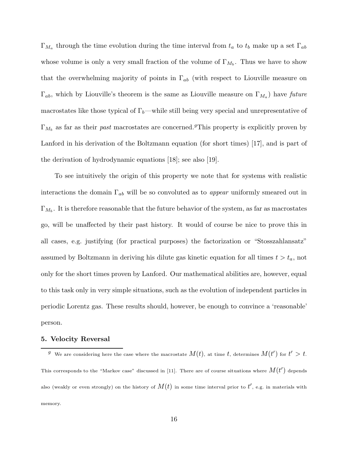$\Gamma_{M_a}$  through the time evolution during the time interval from  $t_a$  to  $t_b$  make up a set  $\Gamma_{ab}$ whose volume is only a very small fraction of the volume of  $\Gamma_{M_b}$ . Thus we have to show that the overwhelming majority of points in  $\Gamma_{ab}$  (with respect to Liouville measure on  $\Gamma_{ab}$ , which by Liouville's theorem is the same as Liouville measure on  $\Gamma_{M_a}$ ) have future macrostates like those typical of  $\Gamma_b$ —while still being very special and unrepresentative of  $\Gamma_{M_b}$  as far as their past macrostates are concerned.<sup>g</sup>This property is explicitly proven by Lanford in his derivation of the Boltzmann equation (for short times) [17], and is part of the derivation of hydrodynamic equations [18]; see also [19].

To see intuitively the origin of this property we note that for systems with realistic interactions the domain  $\Gamma_{ab}$  will be so convoluted as to *appear* uniformly smeared out in  $\Gamma_{M_b}$ . It is therefore reasonable that the future behavior of the system, as far as macrostates go, will be unaffected by their past history. It would of course be nice to prove this in all cases, e.g. justifying (for practical purposes) the factorization or "Stosszahlansatz" assumed by Boltzmann in deriving his dilute gas kinetic equation for all times  $t>t_a$ , not only for the short times proven by Lanford. Our mathematical abilities are, however, equal to this task only in very simple situations, such as the evolution of independent particles in periodic Lorentz gas. These results should, however, be enough to convince a 'reasonable' person.

### **5. Velocity Reversal**

 $^g$  We are considering here the case where the macrostate  $M(t)$ , at time  $t$ , determines  $M(t')$  for  $t'>t$ . This corresponds to the "Markov case" discussed in [11]. There are of course situations where  $M(t^\prime)$  depends also (weakly or even strongly) on the history of  $M(t)$  in some time interval prior to  $t^{\prime}$ , e.g. in materials with memory.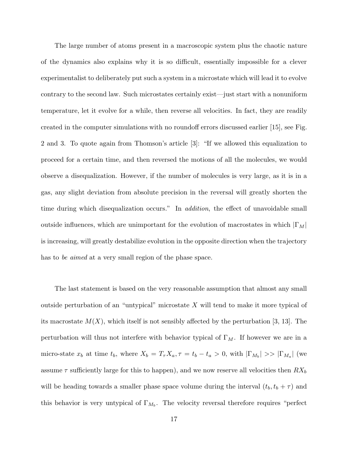The large number of atoms present in a macroscopic system plus the chaotic nature of the dynamics also explains why it is so difficult, essentially impossible for a clever experimentalist to deliberately put such a system in a microstate which will lead it to evolve contrary to the second law. Such microstates certainly exist—just start with a nonuniform temperature, let it evolve for a while, then reverse all velocities. In fact, they are readily created in the computer simulations with no roundoff errors discussed earlier [15], see Fig. 2 and 3. To quote again from Thomson's article [3]: "If we allowed this equalization to proceed for a certain time, and then reversed the motions of all the molecules, we would observe a disequalization. However, if the number of molecules is very large, as it is in a gas, any slight deviation from absolute precision in the reversal will greatly shorten the time during which disequalization occurs." In *addition*, the effect of unavoidable small outside influences, which are unimportant for the evolution of macrostates in which  $|\Gamma_M|$ is increasing, will greatly destabilize evolution in the opposite direction when the trajectory has to be aimed at a very small region of the phase space.

The last statement is based on the very reasonable assumption that almost any small outside perturbation of an "untypical" microstate X will tend to make it more typical of its macrostate  $M(X)$ , which itself is not sensibly affected by the perturbation [3, 13]. The perturbation will thus not interfere with behavior typical of  $\Gamma_M$ . If however we are in a micro-state  $x_b$  at time  $t_b$ , where  $X_b = T_\tau X_a$ ,  $\tau = t_b - t_a > 0$ , with  $|\Gamma_{M_b}| >> |\Gamma_{M_a}|$  (we assume  $\tau$  sufficiently large for this to happen), and we now reserve all velocities then  $RX_b$ will be heading towards a smaller phase space volume during the interval  $(t_b, t_b + \tau)$  and this behavior is very untypical of  $\Gamma_{M_b}$ . The velocity reversal therefore requires "perfect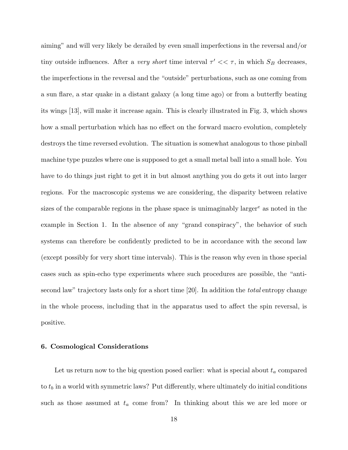aiming" and will very likely be derailed by even small imperfections in the reversal and/or tiny outside influences. After a very short time interval  $\tau' << \tau$ , in which  $S_B$  decreases, the imperfections in the reversal and the "outside" perturbations, such as one coming from a sun flare, a star quake in a distant galaxy (a long time ago) or from a butterfly beating its wings [13], will make it increase again. This is clearly illustrated in Fig. 3, which shows how a small perturbation which has no effect on the forward macro evolution, completely destroys the time reversed evolution. The situation is somewhat analogous to those pinball machine type puzzles where one is supposed to get a small metal ball into a small hole. You have to do things just right to get it in but almost anything you do gets it out into larger regions. For the macroscopic systems we are considering, the disparity between relative sizes of the comparable regions in the phase space is unimaginably larger<sup>e</sup> as noted in the example in Section 1. In the absence of any "grand conspiracy", the behavior of such systems can therefore be confidently predicted to be in accordance with the second law (except possibly for very short time intervals). This is the reason why even in those special cases such as spin-echo type experiments where such procedures are possible, the "antisecond law" trajectory lasts only for a short time [20]. In addition the *total* entropy change in the whole process, including that in the apparatus used to affect the spin reversal, is positive.

#### **6. Cosmological Considerations**

Let us return now to the big question posed earlier: what is special about  $t_a$  compared to  $t_b$  in a world with symmetric laws? Put differently, where ultimately do initial conditions such as those assumed at  $t_a$  come from? In thinking about this we are led more or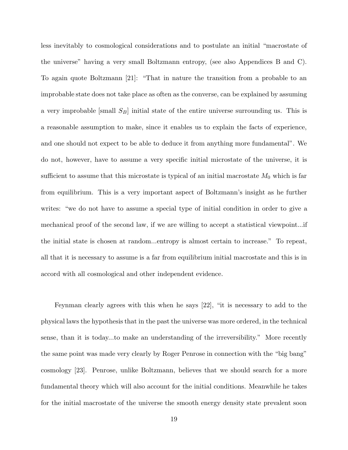less inevitably to cosmological considerations and to postulate an initial "macrostate of the universe" having a very small Boltzmann entropy, (see also Appendices B and C). To again quote Boltzmann [21]: "That in nature the transition from a probable to an improbable state does not take place as often as the converse, can be explained by assuming a very improbable  $\text{small } S_B \text{initial state of the entire universe surrounding us. This is}$ a reasonable assumption to make, since it enables us to explain the facts of experience, and one should not expect to be able to deduce it from anything more fundamental". We do not, however, have to assume a very specific initial microstate of the universe, it is sufficient to assume that this microstate is typical of an initial macrostate  $M_0$  which is far from equilibrium. This is a very important aspect of Boltzmann's insight as he further writes: "we do not have to assume a special type of initial condition in order to give a mechanical proof of the second law, if we are willing to accept a statistical viewpoint...if the initial state is chosen at random...entropy is almost certain to increase." To repeat, all that it is necessary to assume is a far from equilibrium initial macrostate and this is in accord with all cosmological and other independent evidence.

Feynman clearly agrees with this when he says [22], "it is necessary to add to the physical laws the hypothesis that in the past the universe was more ordered, in the technical sense, than it is today...to make an understanding of the irreversibility." More recently the same point was made very clearly by Roger Penrose in connection with the "big bang" cosmology [23]. Penrose, unlike Boltzmann, believes that we should search for a more fundamental theory which will also account for the initial conditions. Meanwhile he takes for the initial macrostate of the universe the smooth energy density state prevalent soon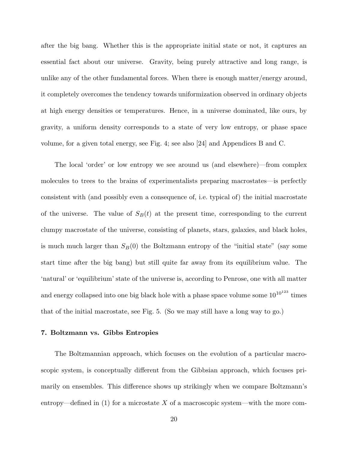after the big bang. Whether this is the appropriate initial state or not, it captures an essential fact about our universe. Gravity, being purely attractive and long range, is unlike any of the other fundamental forces. When there is enough matter/energy around, it completely overcomes the tendency towards uniformization observed in ordinary objects at high energy densities or temperatures. Hence, in a universe dominated, like ours, by gravity, a uniform density corresponds to a state of very low entropy, or phase space volume, for a given total energy, see Fig. 4; see also [24] and Appendices B and C.

The local 'order' or low entropy we see around us (and elsewhere)—from complex molecules to trees to the brains of experimentalists preparing macrostates—is perfectly consistent with (and possibly even a consequence of, i.e. typical of) the initial macrostate of the universe. The value of  $S_B(t)$  at the present time, corresponding to the current clumpy macrostate of the universe, consisting of planets, stars, galaxies, and black holes, is much much larger than  $S_B(0)$  the Boltzmann entropy of the "initial state" (say some start time after the big bang) but still quite far away from its equilibrium value. The 'natural' or 'equilibrium' state of the universe is, according to Penrose, one with all matter and energy collapsed into one big black hole with a phase space volume some  $10^{10^{123}}$  times that of the initial macrostate, see Fig. 5. (So we may still have a long way to go.)

### **7. Boltzmann vs. Gibbs Entropies**

The Boltzmannian approach, which focuses on the evolution of a particular macroscopic system, is conceptually different from the Gibbsian approach, which focuses primarily on ensembles. This difference shows up strikingly when we compare Boltzmann's entropy—defined in  $(1)$  for a microstate X of a macroscopic system—with the more com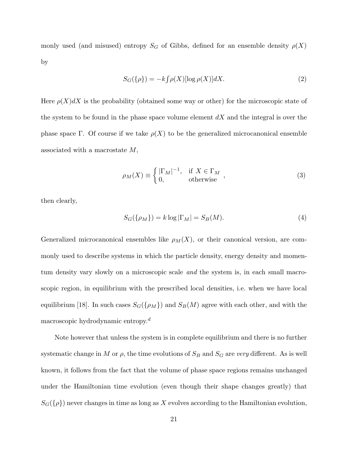monly used (and misused) entropy  $S_G$  of Gibbs, defined for an ensemble density  $\rho(X)$ by

$$
S_G(\{\rho\}) = -k \int \rho(X) [\log \rho(X)] dX.
$$
 (2)

Here  $\rho(X)dX$  is the probability (obtained some way or other) for the microscopic state of the system to be found in the phase space volume element  $dX$  and the integral is over the phase space Γ. Of course if we take  $\rho(X)$  to be the generalized microcanonical ensemble associated with a macrostate M,

$$
\rho_M(X) \equiv \begin{cases} |\Gamma_M|^{-1}, & \text{if } X \in \Gamma_M \\ 0, & \text{otherwise} \end{cases}, \tag{3}
$$

then clearly,

$$
S_G(\{\rho_M\}) = k \log |\Gamma_M| = S_B(M). \tag{4}
$$

Generalized microcanonical ensembles like  $\rho_M(X)$ , or their canonical version, are commonly used to describe systems in which the particle density, energy density and momentum density vary slowly on a microscopic scale and the system is, in each small macroscopic region, in equilibrium with the prescribed local densities, i.e. when we have local equilibrium [18]. In such cases  $S_G(\{\rho_M\})$  and  $S_B(M)$  agree with each other, and with the macroscopic hydrodynamic entropy.<sup>d</sup>

Note however that unless the system is in complete equilibrium and there is no further systematic change in M or  $\rho$ , the time evolutions of  $S_B$  and  $S_G$  are very different. As is well known, it follows from the fact that the volume of phase space regions remains unchanged under the Hamiltonian time evolution (even though their shape changes greatly) that  $S_G({\rho})$  never changes in time as long as X evolves according to the Hamiltonian evolution,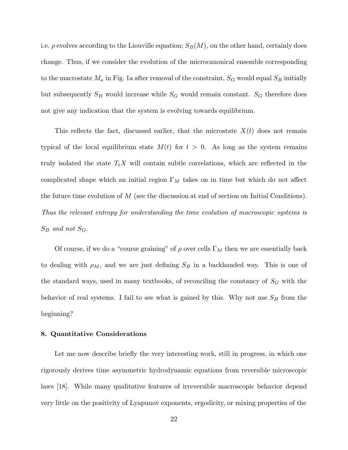i.e.  $\rho$  evolves according to the Liouville equation;  $S_B(M)$ , on the other hand, certainly does change. Thus, if we consider the evolution of the microcanonical ensemble corresponding to the macrostate  $M_a$  in Fig. 1a after removal of the constraint,  $S_G$  would equal  $S_B$  initially but subsequently  $S_B$  would increase while  $S_G$  would remain constant.  $S_G$  therefore does not give any indication that the system is evolving towards equilibrium.

This reflects the fact, discussed earlier, that the microstate  $X(t)$  does not remain typical of the local equilibrium state  $M(t)$  for  $t > 0$ . As long as the system remains truly isolated the state  $T_t X$  will contain subtle correlations, which are reflected in the complicated shape which an initial region  $\Gamma_M$  takes on in time but which do not affect the future time evolution of  $M$  (see the discussion at end of section on Initial Conditions). Thus the relevant entropy for understanding the time evolution of macroscopic systems is  $S_B$  and not  $S_G$ .

Of course, if we do a "course graining" of  $\rho$  over cells  $\Gamma_M$  then we are essentially back to dealing with  $\rho_M$ , and we are just defining  $S_B$  in a backhanded way. This is one of the standard ways, used in many textbooks, of reconciling the constancy of  $S_G$  with the behavior of real systems. I fail to see what is gained by this. Why not use  $S_B$  from the beginning?

### **8. Quantitative Considerations**

Let me now describe briefly the very interesting work, still in progress, in which one rigorously derives time asymmetric hydrodynamic equations from reversible microscopic laws [18]. While many qualitative features of irreversible macroscopic behavior depend very little on the positivity of Lyapunov exponents, ergodicity, or mixing properties of the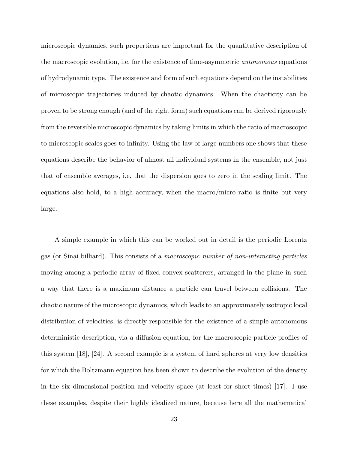microscopic dynamics, such propertiens are important for the quantitative description of the macroscopic evolution, i.e. for the existence of time-asymmetric autonomous equations of hydrodynamic type. The existence and form of such equations depend on the instabilities of microscopic trajectories induced by chaotic dynamics. When the chaoticity can be proven to be strong enough (and of the right form) such equations can be derived rigorously from the reversible microscopic dynamics by taking limits in which the ratio of macroscopic to microscopic scales goes to infinity. Using the law of large numbers one shows that these equations describe the behavior of almost all individual systems in the ensemble, not just that of ensemble averages, i.e. that the dispersion goes to zero in the scaling limit. The equations also hold, to a high accuracy, when the macro/micro ratio is finite but very large.

A simple example in which this can be worked out in detail is the periodic Lorentz gas (or Sinai billiard). This consists of a macroscopic number of non-interacting particles moving among a periodic array of fixed convex scatterers, arranged in the plane in such a way that there is a maximum distance a particle can travel between collisions. The chaotic nature of the microscopic dynamics, which leads to an approximately isotropic local distribution of velocities, is directly responsible for the existence of a simple autonomous deterministic description, via a diffusion equation, for the macroscopic particle profiles of this system [18], [24]. A second example is a system of hard spheres at very low densities for which the Boltzmann equation has been shown to describe the evolution of the density in the six dimensional position and velocity space (at least for short times) [17]. I use these examples, despite their highly idealized nature, because here all the mathematical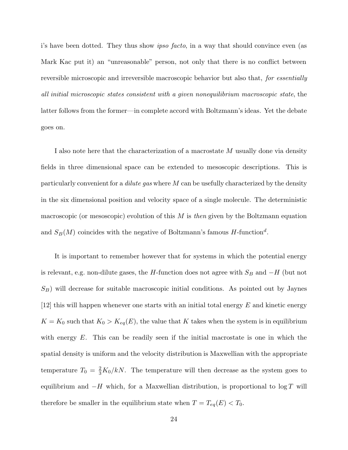i's have been dotted. They thus show *ipso facto*, in a way that should convince even (as Mark Kac put it) an "unreasonable" person, not only that there is no conflict between reversible microscopic and irreversible macroscopic behavior but also that, for essentially all initial microscopic states consistent with a given nonequilibrium macroscopic state, the latter follows from the former—in complete accord with Boltzmann's ideas. Yet the debate goes on.

I also note here that the characterization of a macrostate M usually done via density fields in three dimensional space can be extended to mesoscopic descriptions. This is particularly convenient for a *dilute gas* where  $M$  can be usefully characterized by the density in the six dimensional position and velocity space of a single molecule. The deterministic macroscopic (or mesoscopic) evolution of this  $M$  is then given by the Boltzmann equation and  $S_B(M)$  coincides with the negative of Boltzmann's famous  $H$ -function<sup>d</sup>.

It is important to remember however that for systems in which the potential energy is relevant, e.g. non-dilute gases, the H-function does not agree with  $S_B$  and  $-H$  (but not  $S_B$ ) will decrease for suitable macroscopic initial conditions. As pointed out by Jaynes  $[12]$  this will happen whenever one starts with an initial total energy E and kinetic energy  $K = K_0$  such that  $K_0 > K_{eq}(E)$ , the value that K takes when the system is in equilibrium with energy  $E$ . This can be readily seen if the initial macrostate is one in which the spatial density is uniform and the velocity distribution is Maxwellian with the appropriate temperature  $T_0 = \frac{2}{3} K_0 / kN$ . The temperature will then decrease as the system goes to equilibrium and  $-H$  which, for a Maxwellian distribution, is proportional to  $\log T$  will therefore be smaller in the equilibrium state when  $T = T_{eq}(E) < T_0$ .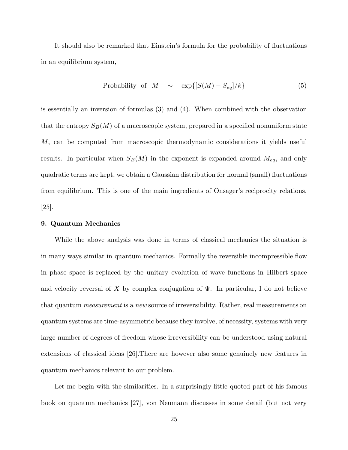It should also be remarked that Einstein's formula for the probability of fluctuations in an equilibrium system,

Probability of 
$$
M \sim \exp\{[S(M) - S_{eq}]/k\}
$$
 (5)

is essentially an inversion of formulas (3) and (4). When combined with the observation that the entropy  $S_B(M)$  of a macroscopic system, prepared in a specified nonuniform state M, can be computed from macroscopic thermodynamic considerations it yields useful results. In particular when  $S_B(M)$  in the exponent is expanded around  $M_{eq}$ , and only quadratic terms are kept, we obtain a Gaussian distribution for normal (small) fluctuations from equilibrium. This is one of the main ingredients of Onsager's reciprocity relations, [25].

#### **9. Quantum Mechanics**

While the above analysis was done in terms of classical mechanics the situation is in many ways similar in quantum mechanics. Formally the reversible incompressible flow in phase space is replaced by the unitary evolution of wave functions in Hilbert space and velocity reversal of X by complex conjugation of  $\Psi$ . In particular, I do not believe that quantum measurement is a new source of irreversibility. Rather, real measurements on quantum systems are time-asymmetric because they involve, of necessity, systems with very large number of degrees of freedom whose irreversibility can be understood using natural extensions of classical ideas [26].There are however also some genuinely new features in quantum mechanics relevant to our problem.

Let me begin with the similarities. In a surprisingly little quoted part of his famous book on quantum mechanics [27], von Neumann discusses in some detail (but not very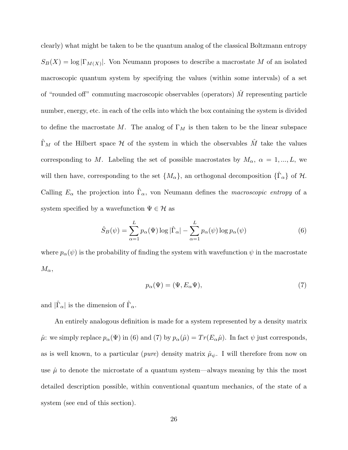clearly) what might be taken to be the quantum analog of the classical Boltzmann entropy  $S_B(X) = \log |\Gamma_{M(X)}|$ . Von Neumann proposes to describe a macrostate M of an isolated macroscopic quantum system by specifying the values (within some intervals) of a set of "rounded off" commuting macroscopic observables (operators)  $\hat{M}$  representing particle number, energy, etc. in each of the cells into which the box containing the system is divided to define the macrostate M. The analog of  $\Gamma_M$  is then taken to be the linear subspace  $\hat{\Gamma}_M$  of the Hilbert space H of the system in which the observables  $\hat{M}$  take the values corresponding to M. Labeling the set of possible macrostates by  $M_{\alpha}$ ,  $\alpha = 1, ..., L$ , we will then have, corresponding to the set  $\{M_{\alpha}\}\)$ , an orthogonal decomposition  $\{\hat{\Gamma}_{\alpha}\}\$  of  $\mathcal{H}$ . Calling  $E_{\alpha}$  the projection into  $\hat{\Gamma}_{\alpha}$ , von Neumann defines the *macroscopic entropy* of a system specified by a wavefunction  $\Psi \in \mathcal{H}$  as

$$
\hat{S}_B(\psi) = \sum_{\alpha=1}^L p_\alpha(\Psi) \log |\hat{\Gamma}_\alpha| - \sum_{\alpha=1}^L p_\alpha(\psi) \log p_\alpha(\psi)
$$
(6)

where  $p_{\alpha}(\psi)$  is the probability of finding the system with wavefunction  $\psi$  in the macrostate  $M_{\alpha}$ ,

$$
p_{\alpha}(\Psi) = (\Psi, E_{\alpha}\Psi),\tag{7}
$$

and  $|\hat{\Gamma}_{\alpha}|$  is the dimension of  $\hat{\Gamma}_{\alpha}$ .

An entirely analogous definition is made for a system represented by a density matrix  $\hat{\mu}$ : we simply replace  $p_{\alpha}(\Psi)$  in (6) and (7) by  $p_{\alpha}(\hat{\mu}) = Tr(E_{\alpha}\hat{\mu})$ . In fact  $\psi$  just corresponds, as is well known, to a particular (*pure*) density matrix  $\hat{\mu}_{\psi}$ . I will therefore from now on use  $\hat{\mu}$  to denote the microstate of a quantum system—always meaning by this the most detailed description possible, within conventional quantum mechanics, of the state of a system (see end of this section).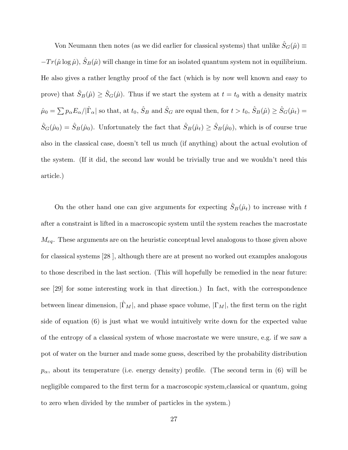Von Neumann then notes (as we did earlier for classical systems) that unlike  $\hat{S}_G(\hat{\mu}) \equiv$  $-Tr(\hat{\mu}\log\hat{\mu}), \hat{S}_B(\hat{\mu})$  will change in time for an isolated quantum system not in equilibrium. He also gives a rather lengthy proof of the fact (which is by now well known and easy to prove) that  $\hat{S}_B(\hat{\mu}) \geq \hat{S}_G(\hat{\mu})$ . Thus if we start the system at  $t = t_0$  with a density matrix  $\hat{\mu}_0 = \sum p_\alpha E_\alpha / |\hat{\Gamma}_\alpha|$  so that, at  $t_0$ ,  $\hat{S}_B$  and  $\hat{S}_G$  are equal then, for  $t > t_0$ ,  $\hat{S}_B(\hat{\mu}) \ge \hat{S}_G(\hat{\mu}_t)$  $\hat{S}_G(\hat{\mu}_0) = \hat{S}_B(\hat{\mu}_0)$ . Unfortunately the fact that  $\hat{S}_B(\hat{\mu}_t) \ge \hat{S}_B(\hat{\mu}_0)$ , which is of course true also in the classical case, doesn't tell us much (if anything) about the actual evolution of the system. (If it did, the second law would be trivially true and we wouldn't need this article.)

On the other hand one can give arguments for expecting  $\hat{S}_B(\hat{\mu}_t)$  to increase with t after a constraint is lifted in a macroscopic system until the system reaches the macrostate  $M_{eq}$ . These arguments are on the heuristic conceptual level analogous to those given above for classical systems [28 ], although there are at present no worked out examples analogous to those described in the last section. (This will hopefully be remedied in the near future: see [29] for some interesting work in that direction.) In fact, with the correspondence between linear dimension,  $|\hat{\Gamma}_M|$ , and phase space volume,  $|\Gamma_M|$ , the first term on the right side of equation (6) is just what we would intuitively write down for the expected value of the entropy of a classical system of whose macrostate we were unsure, e.g. if we saw a pot of water on the burner and made some guess, described by the probability distribution  $p_{\alpha}$ , about its temperature (i.e. energy density) profile. (The second term in (6) will be negligible compared to the first term for a macroscopic system,classical or quantum, going to zero when divided by the number of particles in the system.)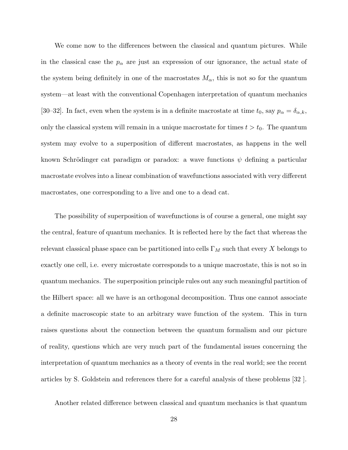We come now to the differences between the classical and quantum pictures. While in the classical case the  $p_{\alpha}$  are just an expression of our ignorance, the actual state of the system being definitely in one of the macrostates  $M_{\alpha}$ , this is not so for the quantum system—at least with the conventional Copenhagen interpretation of quantum mechanics [30–32]. In fact, even when the system is in a definite macrostate at time  $t_0$ , say  $p_\alpha = \delta_{\alpha,k}$ , only the classical system will remain in a unique macrostate for times  $t > t_0$ . The quantum system may evolve to a superposition of different macrostates, as happens in the well known Schrödinger cat paradigm or paradox: a wave functions  $\psi$  defining a particular macrostate evolves into a linear combination of wavefunctions associated with very different macrostates, one corresponding to a live and one to a dead cat.

The possibility of superposition of wavefunctions is of course a general, one might say the central, feature of quantum mechanics. It is reflected here by the fact that whereas the relevant classical phase space can be partitioned into cells  $\Gamma_M$  such that every X belongs to exactly one cell, i.e. every microstate corresponds to a unique macrostate, this is not so in quantum mechanics. The superposition principle rules out any such meaningful partition of the Hilbert space: all we have is an orthogonal decomposition. Thus one cannot associate a definite macroscopic state to an arbitrary wave function of the system. This in turn raises questions about the connection between the quantum formalism and our picture of reality, questions which are very much part of the fundamental issues concerning the interpretation of quantum mechanics as a theory of events in the real world; see the recent articles by S. Goldstein and references there for a careful analysis of these problems [32 ].

Another related difference between classical and quantum mechanics is that quantum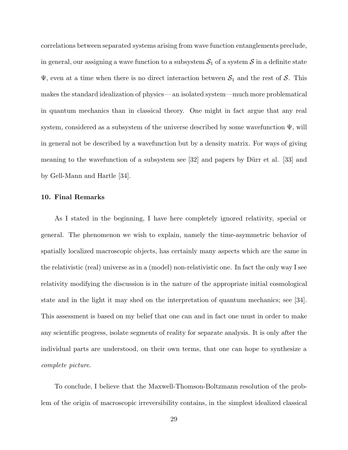correlations between separated systems arising from wave function entanglements preclude, in general, our assigning a wave function to a subsystem  $S_1$  of a system S in a definite state  $\Psi$ , even at a time when there is no direct interaction between  $S_1$  and the rest of S. This makes the standard idealization of physics— an isolated system—much more problematical in quantum mechanics than in classical theory. One might in fact argue that any real system, considered as a subsystem of the universe described by some wavefunction  $\Psi$ , will in general not be described by a wavefunction but by a density matrix. For ways of giving meaning to the wavefunction of a subsystem see  $[32]$  and papers by Dürr et al.  $[33]$  and by Gell-Mann and Hartle [34].

# **10. Final Remarks**

As I stated in the beginning, I have here completely ignored relativity, special or general. The phenomenon we wish to explain, namely the time-asymmetric behavior of spatially localized macroscopic objects, has certainly many aspects which are the same in the relativistic (real) universe as in a (model) non-relativistic one. In fact the only way I see relativity modifying the discussion is in the nature of the appropriate initial cosmological state and in the light it may shed on the interpretation of quantum mechanics; see [34]. This assessment is based on my belief that one can and in fact one must in order to make any scientific progress, isolate segments of reality for separate analysis. It is only after the individual parts are understood, on their own terms, that one can hope to synthesize a complete picture.

To conclude, I believe that the Maxwell-Thomson-Boltzmann resolution of the problem of the origin of macroscopic irreversibility contains, in the simplest idealized classical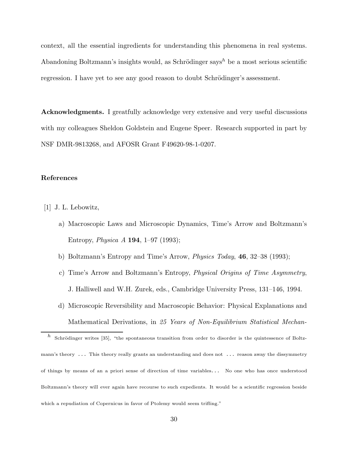context, all the essential ingredients for understanding this phenomena in real systems. Abandoning Boltzmann's insights would, as Schrödinger says<sup>h</sup> be a most serious scientific regression. I have yet to see any good reason to doubt Schrödinger's assessment.

**Acknowledgments.** I greatfully acknowledge very extensive and very useful discussions with my colleagues Sheldon Goldstein and Eugene Speer. Research supported in part by NSF DMR-9813268, and AFOSR Grant F49620-98-1-0207.

# **References**

- [1] J. L. Lebowitz,
	- a) Macroscopic Laws and Microscopic Dynamics, Time's Arrow and Boltzmann's Entropy, Physica A **194**, 1–97 (1993);
	- b) Boltzmann's Entropy and Time's Arrow, Physics Today, **46**, 32–38 (1993);
	- c) Time's Arrow and Boltzmann's Entropy, Physical Origins of Time Asymmetry, J. Halliwell and W.H. Zurek, eds., Cambridge University Press, 131–146, 1994.
	- d) Microscopic Reversibility and Macroscopic Behavior: Physical Explanations and Mathematical Derivations, in 25 Years of Non-Equilibrium Statistical Mechan-

h Schrödinger writes [35], "the spontaneous transition from order to disorder is the quintessence of Boltzmann's theory ... This theory really grants an understanding and does not ... reason away the dissymmetry of things by means of an a priori sense of direction of time variables... No one who has once understood Boltzmann's theory will ever again have recourse to such expedients. It would be a scientific regression beside which a repudiation of Copernicus in favor of Ptolemy would seem trifling."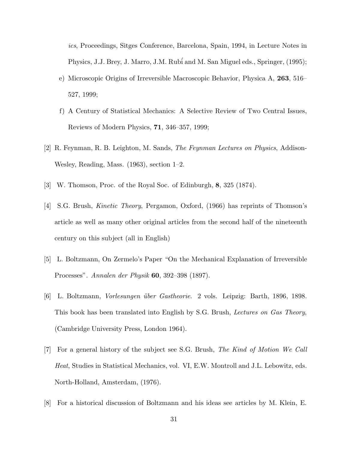ics, Proceedings, Sitges Conference, Barcelona, Spain, 1994, in Lecture Notes in Physics, J.J. Brey, J. Marro, J.M. Rub´i and M. San Miguel eds., Springer, (1995);

- e) Microscopic Origins of Irreversible Macroscopic Behavior, Physica A, **263**, 516– 527, 1999;
- f) A Century of Statistical Mechanics: A Selective Review of Two Central Issues, Reviews of Modern Physics, **71**, 346–357, 1999;
- [2] R. Feynman, R. B. Leighton, M. Sands, The Feynman Lectures on Physics, Addison-Wesley, Reading, Mass. (1963), section 1–2.
- [3] W. Thomson, Proc. of the Royal Soc. of Edinburgh, **8**, 325 (1874).
- [4] S.G. Brush, Kinetic Theory, Pergamon, Oxford, (1966) has reprints of Thomson's article as well as many other original articles from the second half of the nineteenth century on this subject (all in English)
- [5] L. Boltzmann, On Zermelo's Paper "On the Mechanical Explanation of Irreversible Processes". Annalen der Physik **60**, 392–398 (1897).
- [6] L. Boltzmann, Vorlesungen ¨uber Gastheorie. 2 vols. Leipzig: Barth, 1896, 1898. This book has been translated into English by S.G. Brush, Lectures on Gas Theory, (Cambridge University Press, London 1964).
- [7] For a general history of the subject see S.G. Brush, The Kind of Motion We Call Heat, Studies in Statistical Mechanics, vol. VI, E.W. Montroll and J.L. Lebowitz, eds. North-Holland, Amsterdam, (1976).
- [8] For a historical discussion of Boltzmann and his ideas see articles by M. Klein, E.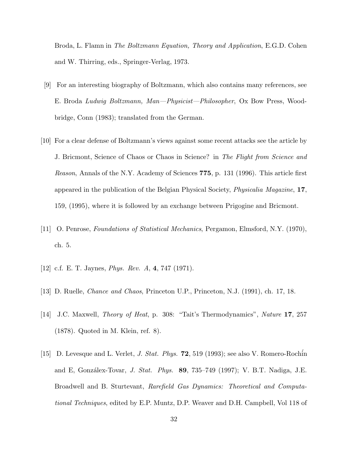Broda, L. Flamn in The Boltzmann Equation, Theory and Application, E.G.D. Cohen and W. Thirring, eds., Springer-Verlag, 1973.

- [9] For an interesting biography of Boltzmann, which also contains many references, see E. Broda Ludwig Boltzmann, Man—Physicist—Philosopher, Ox Bow Press, Woodbridge, Conn (1983); translated from the German.
- [10] For a clear defense of Boltzmann's views against some recent attacks see the article by J. Bricmont, Science of Chaos or Chaos in Science? in The Flight from Science and Reason, Annals of the N.Y. Academy of Sciences **775**, p. 131 (1996). This article first appeared in the publication of the Belgian Physical Society, Physicalia Magazine, **17**, 159, (1995), where it is followed by an exchange between Prigogine and Bricmont.
- [11] O. Penrose, Foundations of Statistical Mechanics, Pergamon, Elmsford, N.Y. (1970), ch. 5.
- [12] c.f. E. T. Jaynes, Phys. Rev. A, **4**, 747 (1971).
- [13] D. Ruelle, Chance and Chaos, Princeton U.P., Princeton, N.J. (1991), ch. 17, 18.
- [14] J.C. Maxwell, Theory of Heat, p. 308: "Tait's Thermodynamics", Nature **17**, 257 (1878). Quoted in M. Klein, ref. 8).
- [15] D. Levesque and L. Verlet, J. Stat. Phys. **72**, 519 (1993); see also V. Romero-Roch´in and E, Gonz´alex-Tovar, J. Stat. Phys. **89**, 735–749 (1997); V. B.T. Nadiga, J.E. Broadwell and B. Sturtevant, Rarefield Gas Dynamics: Theoretical and Computational Techniques, edited by E.P. Muntz, D.P. Weaver and D.H. Campbell, Vol 118 of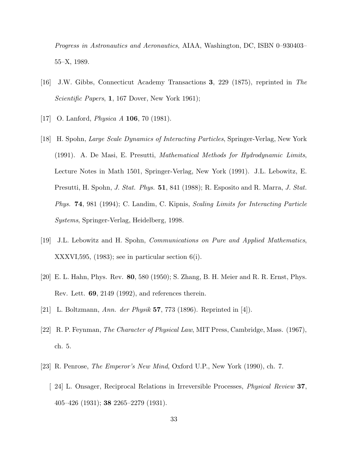Progress in Astronautics and Aeronautics, AIAA, Washington, DC, ISBN 0–930403– 55–X, 1989.

- [16] J.W. Gibbs, Connecticut Academy Transactions **3**, 229 (1875), reprinted in The Scientific Papers, **1**, 167 Dover, New York 1961);
- [17] O. Lanford, Physica A **106**, 70 (1981).
- [18] H. Spohn, Large Scale Dynamics of Interacting Particles, Springer-Verlag, New York (1991). A. De Masi, E. Presutti, Mathematical Methods for Hydrodynamic Limits, Lecture Notes in Math 1501, Springer-Verlag, New York (1991). J.L. Lebowitz, E. Presutti, H. Spohn, J. Stat. Phys. **51**, 841 (1988); R. Esposito and R. Marra, J. Stat. Phys. **74**, 981 (1994); C. Landim, C. Kipnis, Scaling Limits for Interacting Particle Systems, Springer-Verlag, Heidelberg, 1998.
- [19] J.L. Lebowitz and H. Spohn, Communications on Pure and Applied Mathematics, XXXVI,595, (1983); see in particular section 6(i).
- [20] E. L. Hahn, Phys. Rev. **80**, 580 (1950); S. Zhang, B. H. Meier and R. R. Ernst, Phys. Rev. Lett. **69**, 2149 (1992), and references therein.
- [21] L. Boltzmann, Ann. der Physik **57**, 773 (1896). Reprinted in [4]).
- [22] R. P. Feynman, The Character of Physical Law, MIT Press, Cambridge, Mass. (1967), ch. 5.
- [23] R. Penrose, The Emperor's New Mind, Oxford U.P., New York (1990), ch. 7.
	- [ 24] L. Onsager, Reciprocal Relations in Irreversible Processes, Physical Review **37**, 405–426 (1931); **38** 2265–2279 (1931).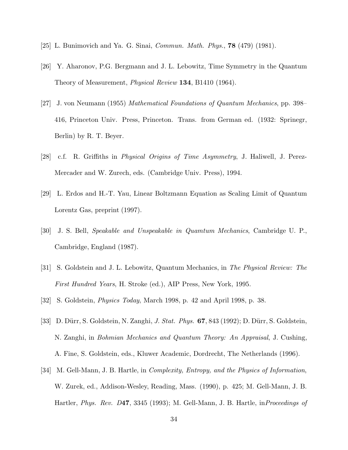- [25] L. Bunimovich and Ya. G. Sinai, Commun. Math. Phys., **78** (479) (1981).
- [26] Y. Aharonov, P.G. Bergmann and J. L. Lebowitz, Time Symmetry in the Quantum Theory of Measurement, Physical Review **134**, B1410 (1964).
- [27] J. von Neumann (1955) Mathematical Foundations of Quantum Mechanics, pp. 398– 416, Princeton Univ. Press, Princeton. Trans. from German ed. (1932: Sprinegr, Berlin) by R. T. Beyer.
- [28] c.f. R. Griffiths in Physical Origins of Time Asymmetry, J. Haliwell, J. Perez-Mercader and W. Zurech, eds. (Cambridge Univ. Press), 1994.
- [29] L. Erdos and H.-T. Yau, Linear Boltzmann Equation as Scaling Limit of Quantum Lorentz Gas, preprint (1997).
- [30] J. S. Bell, Speakable and Unspeakable in Quamtum Mechanics, Cambridge U. P., Cambridge, England (1987).
- [31] S. Goldstein and J. L. Lebowitz, Quantum Mechanics, in The Physical Review: The First Hundred Years, H. Stroke (ed.), AIP Press, New York, 1995.
- [32] S. Goldstein, Physics Today, March 1998, p. 42 and April 1998, p. 38.
- [33] D. Dürr, S. Goldstein, N. Zanghi, *J. Stat. Phys.* **67**, 843 (1992); D. Dürr, S. Goldstein, N. Zanghi, in Bohmian Mechanics and Quantum Theory: An Appraisal, J. Cushing, A. Fine, S. Goldstein, eds., Kluwer Academic, Dordrecht, The Netherlands (1996).
- [34] M. Gell-Mann, J. B. Hartle, in *Complexity, Entropy, and the Physics of Information*, W. Zurek, ed., Addison-Wesley, Reading, Mass. (1990), p. 425; M. Gell-Mann, J. B. Hartler, Phys. Rev. D**47**, 3345 (1993); M. Gell-Mann, J. B. Hartle, inProceedings of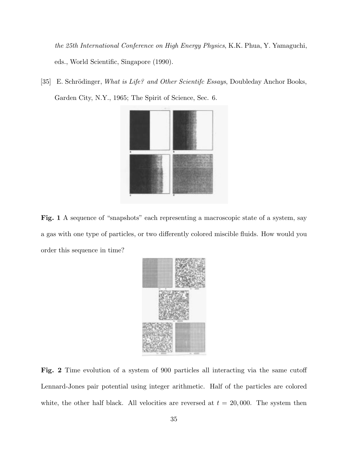the 25th International Conference on High Energy Physics, K.K. Phua, Y. Yamaguchi, eds., World Scientific, Singapore (1990).

[35] E. Schrödinger, What is Life? and Other Scientifc Essays, Doubleday Anchor Books, Garden City, N.Y., 1965; The Spirit of Science, Sec. 6.



Fig. 1 A sequence of "snapshots" each representing a macroscopic state of a system, say a gas with one type of particles, or two differently colored miscible fluids. How would you order this sequence in time?



**Fig. 2** Time evolution of a system of 900 particles all interacting via the same cutoff Lennard-Jones pair potential using integer arithmetic. Half of the particles are colored white, the other half black. All velocities are reversed at  $t = 20,000$ . The system then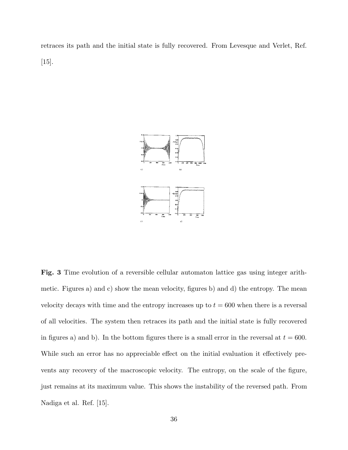retraces its path and the initial state is fully recovered. From Levesque and Verlet, Ref. [15].



**Fig. 3** Time evolution of a reversible cellular automaton lattice gas using integer arithmetic. Figures a) and c) show the mean velocity, figures b) and d) the entropy. The mean velocity decays with time and the entropy increases up to  $t = 600$  when there is a reversal of all velocities. The system then retraces its path and the initial state is fully recovered in figures a) and b). In the bottom figures there is a small error in the reversal at  $t = 600$ . While such an error has no appreciable effect on the initial evaluation it effectively prevents any recovery of the macroscopic velocity. The entropy, on the scale of the figure, just remains at its maximum value. This shows the instability of the reversed path. From Nadiga et al. Ref. [15].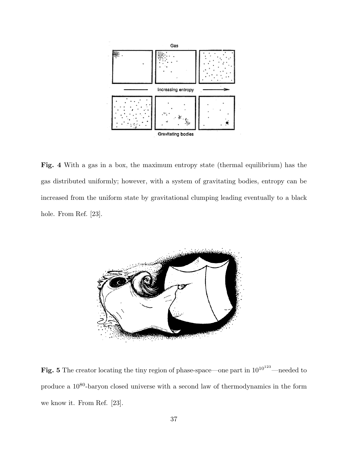

**Fig. 4** With a gas in a box, the maximum entropy state (thermal equilibrium) has the gas distributed uniformly; however, with a system of gravitating bodies, entropy can be increased from the uniform state by gravitational clumping leading eventually to a black hole. From Ref. [23].



Fig. 5 The creator locating the tiny region of phase-space—one part in  $10^{10^{123}}$ —needed to produce a 1080-baryon closed universe with a second law of thermodynamics in the form we know it. From Ref. [23].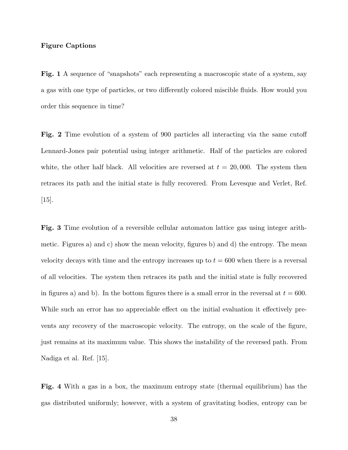### **Figure Captions**

**Fig. 1** A sequence of "snapshots" each representing a macroscopic state of a system, say a gas with one type of particles, or two differently colored miscible fluids. How would you order this sequence in time?

**Fig. 2** Time evolution of a system of 900 particles all interacting via the same cutoff Lennard-Jones pair potential using integer arithmetic. Half of the particles are colored white, the other half black. All velocities are reversed at  $t = 20,000$ . The system then retraces its path and the initial state is fully recovered. From Levesque and Verlet, Ref.  $[15]$ .

**Fig. 3** Time evolution of a reversible cellular automaton lattice gas using integer arithmetic. Figures a) and c) show the mean velocity, figures b) and d) the entropy. The mean velocity decays with time and the entropy increases up to  $t = 600$  when there is a reversal of all velocities. The system then retraces its path and the initial state is fully recovered in figures a) and b). In the bottom figures there is a small error in the reversal at  $t = 600$ . While such an error has no appreciable effect on the initial evaluation it effectively prevents any recovery of the macroscopic velocity. The entropy, on the scale of the figure, just remains at its maximum value. This shows the instability of the reversed path. From Nadiga et al. Ref. [15].

**Fig. 4** With a gas in a box, the maximum entropy state (thermal equilibrium) has the gas distributed uniformly; however, with a system of gravitating bodies, entropy can be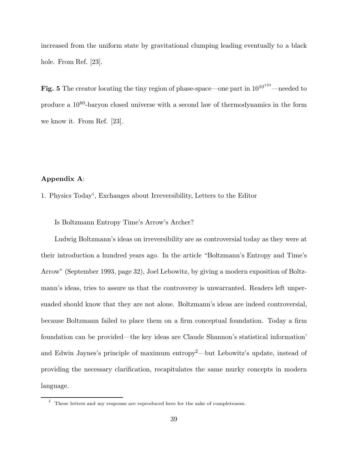increased from the uniform state by gravitational clumping leading eventually to a black hole. From Ref. [23].

Fig. 5 The creator locating the tiny region of phase-space—one part in  $10^{10^{123}}$ —needed to produce a  $10^{80}$ -baryon closed universe with a second law of thermodynamics in the form we know it. From Ref. [23].

### **Appendix A**:

1. Physics Today<sup>i</sup> , Exchanges about Irreversibility, Letters to the Editor

Is Boltzmann Entropy Time's Arrow's Archer?

Ludwig Boltzmann's ideas on irreversibility are as controversial today as they were at their introduction a hundred years ago. In the article "Boltzmann's Entropy and Time's Arrow" (September 1993, page 32), Joel Lebowitz, by giving a modern exposition of Boltzmann's ideas, tries to assure us that the controversy is unwarranted. Readers left unpersuaded should know that they are not alone. Boltzmann's ideas are indeed controversial, because Boltzmann failed to place them on a firm conceptual foundation. Today a firm foundation can be provided—the key ideas are Claude Shannon's statistical information' and Edwin Jaynes's principle of maximum entropy<sup>2</sup>—but Lebowitz's update, instead of providing the necessary clarification, recapitulates the same murky concepts in modern language.

 $\,i\,$  These letters and my response are reproduced here for the sake of completeness.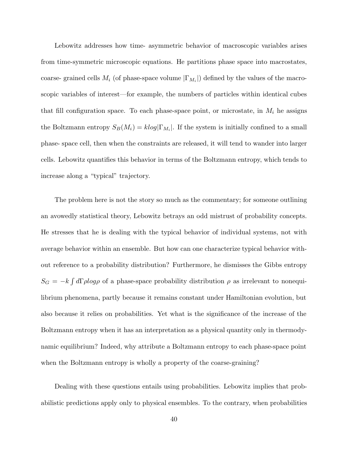Lebowitz addresses how time- asymmetric behavior of macroscopic variables arises from time-symmetric microscopic equations. He partitions phase space into macrostates, coarse- grained cells  $M_i$  (of phase-space volume  $|\Gamma_{M_i}|$ ) defined by the values of the macroscopic variables of interest—for example, the numbers of particles within identical cubes that fill configuration space. To each phase-space point, or microstate, in  $M_i$  he assigns the Boltzmann entropy  $S_B(M_i) = klog|\Gamma_{M_i}|$ . If the system is initially confined to a small phase- space cell, then when the constraints are released, it will tend to wander into larger cells. Lebowitz quantifies this behavior in terms of the Boltzmann entropy, which tends to increase along a "typical" trajectory.

The problem here is not the story so much as the commentary; for someone outlining an avowedly statistical theory, Lebowitz betrays an odd mistrust of probability concepts. He stresses that he is dealing with the typical behavior of individual systems, not with average behavior within an ensemble. But how can one characterize typical behavior without reference to a probability distribution? Furthermore, he dismisses the Gibbs entropy  $S_G = -k \int d\Gamma \rho \log \rho$  of a phase-space probability distribution  $\rho$  as irrelevant to nonequilibrium phenomena, partly because it remains constant under Hamiltonian evolution, but also because it relies on probabilities. Yet what is the significance of the increase of the Boltzmann entropy when it has an interpretation as a physical quantity only in thermodynamic equilibrium? Indeed, why attribute a Boltzmann entropy to each phase-space point when the Boltzmann entropy is wholly a property of the coarse-graining?

Dealing with these questions entails using probabilities. Lebowitz implies that probabilistic predictions apply only to physical ensembles. To the contrary, when probabilities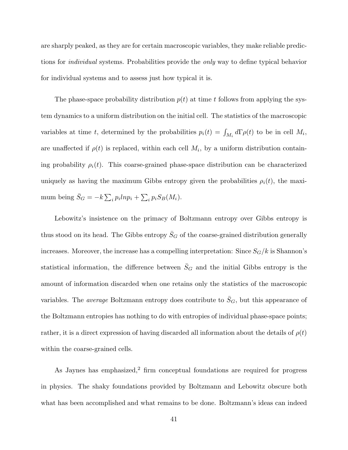are sharply peaked, as they are for certain macroscopic variables, they make reliable predictions for individual systems. Probabilities provide the only way to define typical behavior for individual systems and to assess just how typical it is.

The phase-space probability distribution  $p(t)$  at time t follows from applying the system dynamics to a uniform distribution on the initial cell. The statistics of the macroscopic variables at time t, determined by the probabilities  $p_i(t) = \int_{M_i} d\Gamma \rho(t)$  to be in cell  $M_i$ , are unaffected if  $\rho(t)$  is replaced, within each cell  $M_i$ , by a uniform distribution containing probability  $\rho_i(t)$ . This coarse-grained phase-space distribution can be characterized uniquely as having the maximum Gibbs entropy given the probabilities  $\rho_i(t)$ , the maximum being  $\bar{S}_G = -k \sum_i p_i l n p_i + \sum_i p_i S_B(M_i)$ .

Lebowitz's insistence on the primacy of Boltzmann entropy over Gibbs entropy is thus stood on its head. The Gibbs entropy  $\bar{S}_G$  of the coarse-grained distribution generally increases. Moreover, the increase has a compelling interpretation: Since  $S_G/k$  is Shannon's statistical information, the difference between  $\bar{S}_G$  and the initial Gibbs entropy is the amount of information discarded when one retains only the statistics of the macroscopic variables. The *average* Boltzmann entropy does contribute to  $\bar{S}_G$ , but this appearance of the Boltzmann entropies has nothing to do with entropies of individual phase-space points; rather, it is a direct expression of having discarded all information about the details of  $\rho(t)$ within the coarse-grained cells.

As Jaynes has emphasized,<sup>2</sup> firm conceptual foundations are required for progress in physics. The shaky foundations provided by Boltzmann and Lebowitz obscure both what has been accomplished and what remains to be done. Boltzmann's ideas can indeed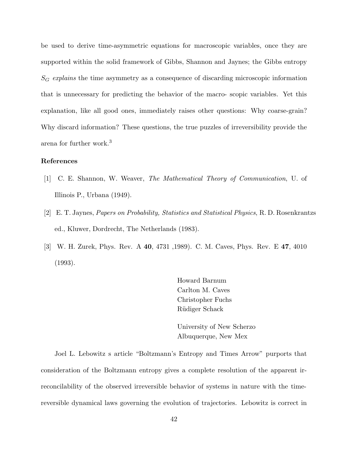be used to derive time-asymmetric equations for macroscopic variables, once they are supported within the solid framework of Gibbs, Shannon and Jaynes; the Gibbs entropy  $S_G$  explains the time asymmetry as a consequence of discarding microscopic information that is unnecessary for predicting the behavior of the macro- scopic variables. Yet this explanation, like all good ones, immediately raises other questions: Why coarse-grain? Why discard information? These questions, the true puzzles of irreversibility provide the arena for further work.<sup>3</sup>

### **References**

- [1] C. E. Shannon, W. Weaver, The Mathematical Theory of Communication, U. of Illinois P., Urbana (1949).
- [2] E. T. Jaynes, Papers on Probability, Statistics and Statistical Physics, R. D. Rosenkrantzs ed., Kluwer, Dordrecht, The Netherlands (1983).
- [3] W. H. Zurek, Phys. Rev. A **40**, 4731 ,1989). C. M. Caves, Phys. Rev. E **47**, 4010 (1993).

Howard Barnum Carlton M. Caves Christopher Fuchs Rüdiger Schack

University of New Scherzo Albuquerque, New Mex

Joel L. Lebowitz s article "Boltzmann's Entropy and Times Arrow" purports that consideration of the Boltzmann entropy gives a complete resolution of the apparent irreconcilability of the observed irreversible behavior of systems in nature with the timereversible dynamical laws governing the evolution of trajectories. Lebowitz is correct in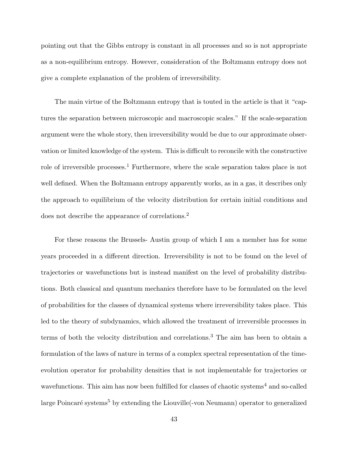pointing out that the Gibbs entropy is constant in all processes and so is not appropriate as a non-equilibrium entropy. However, consideration of the Boltzmann entropy does not give a complete explanation of the problem of irreversibility.

The main virtue of the Boltzmann entropy that is touted in the article is that it "captures the separation between microscopic and macroscopic scales." If the scale-separation argument were the whole story, then irreversibility would be due to our approximate observation or limited knowledge of the system. This is difficult to reconcile with the constructive role of irreversible processes.<sup>1</sup> Furthermore, where the scale separation takes place is not well defined. When the Boltzmann entropy apparently works, as in a gas, it describes only the approach to equilibrium of the velocity distribution for certain initial conditions and does not describe the appearance of correlations.<sup>2</sup>

For these reasons the Brussels- Austin group of which I am a member has for some years proceeded in a different direction. Irreversibility is not to be found on the level of trajectories or wavefunctions but is instead manifest on the level of probability distributions. Both classical and quantum mechanics therefore have to be formulated on the level of probabilities for the classes of dynamical systems where irreversibility takes place. This led to the theory of subdynamics, which allowed the treatment of irreversible processes in terms of both the velocity distribution and correlations.<sup>3</sup> The aim has been to obtain a formulation of the laws of nature in terms of a complex spectral representation of the timeevolution operator for probability densities that is not implementable for trajectories or wavefunctions. This aim has now been fulfilled for classes of chaotic systems<sup>4</sup> and so-called large Poincaré systems<sup>5</sup> by extending the Liouville<sup>-</sup>von Neumann) operator to generalized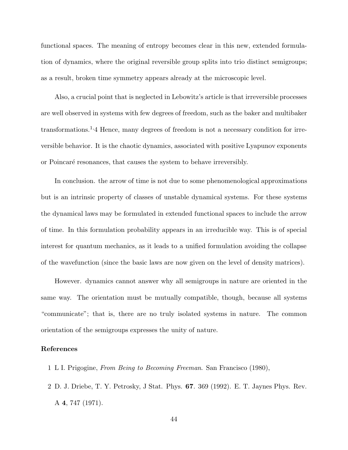functional spaces. The meaning of entropy becomes clear in this new, extended formulation of dynamics, where the original reversible group splits into trio distinct semigroups; as a result, broken time symmetry appears already at the microscopic level.

Also, a crucial point that is neglected in Lebowitz's article is that irreversible processes are well observed in systems with few degrees of freedom, such as the baker and multibaker transformations.<sup>1,</sup>4 Hence, many degrees of freedom is not a necessary condition for irreversible behavior. It is the chaotic dynamics, associated with positive Lyapunov exponents or Poincaré resonances, that causes the system to behave irreversibly.

In conclusion. the arrow of time is not due to some phenomenological approximations but is an intrinsic property of classes of unstable dynamical systems. For these systems the dynamical laws may be formulated in extended functional spaces to include the arrow of time. In this formulation probability appears in an irreducible way. This is of special interest for quantum mechanics, as it leads to a unified formulation avoiding the collapse of the wavefunction (since the basic laws are now given on the level of density matrices).

However. dynamics cannot answer why all semigroups in nature are oriented in the same way. The orientation must be mutually compatible, though, because all systems "communicate"; that is, there are no truly isolated systems in nature. The common orientation of the semigroups expresses the unity of nature.

#### **References**

- 1 L I. Prigogine, From Being to Becoming Freeman. San Francisco (1980),
- 2 D. J. Driebe, T. Y. Petrosky, J Stat. Phys. **67**. 369 (1992). E. T. Jaynes Phys. Rev. A **4**, 747 (1971).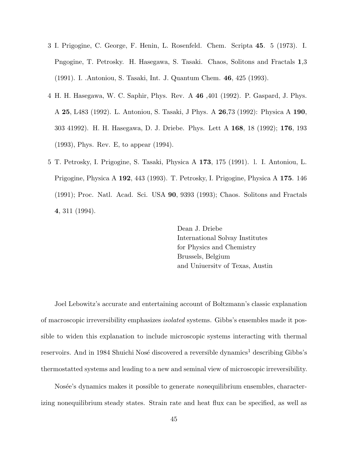- 3 I. Prigogine, C. George, F. Henin, L. Rosenfeld. Chem. Scripta **45**. 5 (1973). I. Pngogine, T. Petrosky. H. Hasegawa, S. Tasaki. Chaos, Solitons and Fractals **1**,3 (1991). I. .Antoniou, S. Tasaki, Int. J. Quantum Chem. **46**, 425 (1993).
- 4 H. H. Hasegawa, W. C. Saphir, Phys. Rev. A **46** ,401 (1992). P. Gaspard, J. Phys. A **25**, L483 (1992). L. Antoniou, S. Tasaki, J Phys. A **26**,73 (1992): Physica A **190**, 303 41992). H. H. Hasegawa, D. J. Driebe. Phys. Lett A **168**, 18 (1992); **176**, 193 (1993), Phys. Rev. E, to appear (1994).
- 5 T. Petrosky, I. Prigogine, S. Tasaki, Physica A **173**, 175 (1991). l. I. Antoniou, L. Prigogine, Physica A **192**, 443 (1993). T. Petrosky, I. Prigogine, Physica A **175**. 146 (1991); Proc. Natl. Acad. Sci. USA **90**, 9393 (1993); Chaos. Solitons and Fractals **4**, 311 (1994).

Dean J. Driebe International Solvay Institutes for Physics and Chemistry Brussels, Belgium and Uniuersitv of Texas, Austin

Joel Lebowitz's accurate and entertaining account of Boltzmann's classic explanation of macroscopic irreversibility emphasizes isolated systems. Gibbs's ensembles made it possible to widen this explanation to include microscopic systems interacting with thermal reservoirs. And in 1984 Shuichi Nosé discovered a reversible dynamics<sup>1</sup> describing Gibbs's thermostatted systems and leading to a new and seminal view of microscopic irreversibility.

Nosée's dynamics makes it possible to generate *nonequilibrium* ensembles, characterizing nonequilibrium steady states. Strain rate and heat flux can be specified, as well as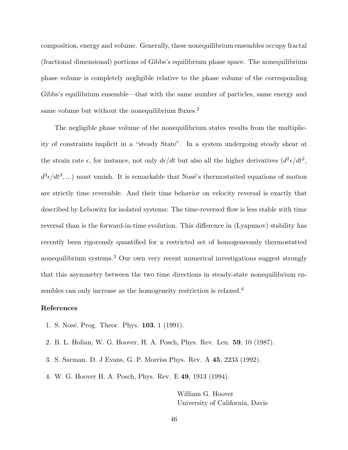composition, energy and volume. Generally, these nonequilibrium ensembles occupy fractal (fractional dimensional) portions of Gibbs's equilibrium phase space. The nonequilibrium phase volume is completely negligible relative to the phase volume of the corresponding Gibbs's equilibrium ensemble—that with the same number of particles, same energy and same volume but without the nonequilibrium fluxes. $^2$ 

The negligible phase volume of the nonequilibrium states results from the multiplicity of constraints implicit in a "steady State". In a system undergoing steady shear at the strain rate  $\epsilon$ , for instance, not only  $d\epsilon/dt$  but also all the higher derivatives  $(d^2\epsilon/dt^2,$  $d^3\epsilon/dt^3,...)$  must vanish. It is remarkable that Nosé's thermostatted equations of motion are strictly time reversible. And their time behavior on velocity reversal is exactly that described by Lebowitz for isolated systems: The time-reversed flow is less stable with time reversal than is the forward-in-time evolution. This difference in (Lyapunov) stability has recently been rigorously quantified for a restricted set of homogeneously thermostatted nonequilibrium systems.<sup>3</sup> Our own very recent numerical investigations suggest strongly that this asymmetry between the two time directions in steady-state nonequilibrium ensembles can only increase as the homogeneity restriction is relaxed.<sup>4</sup>

### **References**

- 1. S. Nosé, Prog. Theor. Phys. **103**, 1 (1991).
- 2. B. L. Holian, W. G. Hoover, H. A. Posch, Phys. Rev. Leu. **59**, 10 (1987).
- 3. S. Sarman. D. J Evans, G. P. Morriss Phys. Rev. A **45**, 2233 (1992).
- 4. W. G. Hoover H. A. Posch, Phys. Rev. E **49**, 1913 (1994).

William G. Hoover University of California, Davis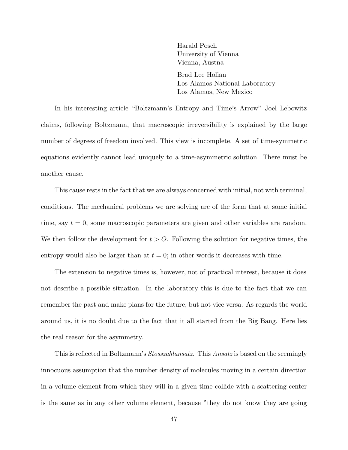Harald Posch University of Vienna Vienna, Austna

Brad Lee Holian Los Alamos National Laboratory Los Alamos, New Mexico

In his interesting article "Boltzmann's Entropy and Time's Arrow" Joel Lebowitz claims, following Boltzmann, that macroscopic irreversibility is explained by the large number of degrees of freedom involved. This view is incomplete. A set of time-symmetric equations evidently cannot lead uniquely to a time-asymmetric solution. There must be another cause.

This cause rests in the fact that we are always concerned with initial, not with terminal, conditions. The mechanical problems we are solving are of the form that at some initial time, say  $t = 0$ , some macroscopic parameters are given and other variables are random. We then follow the development for  $t>0$ . Following the solution for negative times, the entropy would also be larger than at  $t = 0$ ; in other words it decreases with time.

The extension to negative times is, however, not of practical interest, because it does not describe a possible situation. In the laboratory this is due to the fact that we can remember the past and make plans for the future, but not vice versa. As regards the world around us, it is no doubt due to the fact that it all started from the Big Bang. Here lies the real reason for the asymmetry.

This is reflected in Boltzmann's *Stosszahlansatz*. This *Ansatz* is based on the seemingly innocuous assumption that the number density of molecules moving in a certain direction in a volume element from which they will in a given time collide with a scattering center is the same as in any other volume element, because "they do not know they are going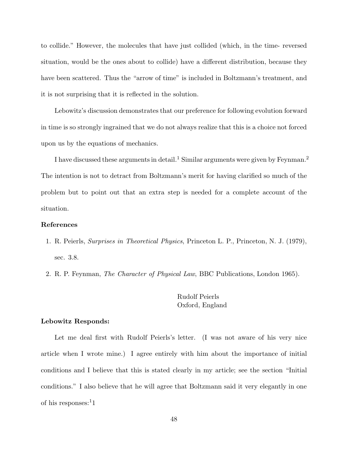to collide." However, the molecules that have just collided (which, in the time- reversed situation, would be the ones about to collide) have a different distribution, because they have been scattered. Thus the "arrow of time" is included in Boltzmann's treatment, and it is not surprising that it is reflected in the solution.

Lebowitz's discussion demonstrates that our preference for following evolution forward in time is so strongly ingrained that we do not always realize that this is a choice not forced upon us by the equations of mechanics.

I have discussed these arguments in detail.<sup>1</sup> Similar arguments were given by Feynman.<sup>2</sup> The intention is not to detract from Boltzmann's merit for having clarified so much of the problem but to point out that an extra step is needed for a complete account of the situation.

### **References**

- 1. R. Peierls, Surprises in Theoretical Physics, Princeton L. P., Princeton, N. J. (1979), sec. 3.8.
- 2. R. P. Feynman, *The Character of Physical Law*, BBC Publications, London 1965).

# Rudolf Peierls Oxford, England

### **Lebowitz Responds:**

Let me deal first with Rudolf Peierls's letter. (I was not aware of his very nice article when I wrote mine.) I agree entirely with him about the importance of initial conditions and I believe that this is stated clearly in my article; see the section "Initial conditions." I also believe that he will agree that Boltzmann said it very elegantly in one of his responses: $11$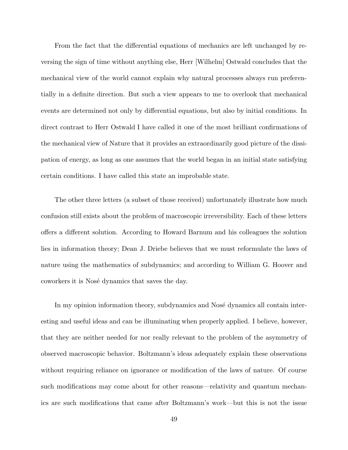From the fact that the differential equations of mechanics are left unchanged by reversing the sign of time without anything else, Herr [Wilhelm] Ostwald concludes that the mechanical view of the world cannot explain why natural processes always run preferentially in a definite direction. But such a view appears to me to overlook that mechanical events are determined not only by differential equations, but also by initial conditions. In direct contrast to Herr Ostwald I have called it one of the most brilliant confirmations of the mechanical view of Nature that it provides an extraordinarily good picture of the dissipation of energy, as long as one assumes that the world began in an initial state satisfying certain conditions. I have called this state an improbable state.

The other three letters (a subset of those received) unfortunately illustrate how much confusion still exists about the problem of macroscopic irreversibility. Each of these letters offers a different solution. According to Howard Barnum and his colleagues the solution lies in information theory; Dean J. Driebe believes that we must reformulate the laws of nature using the mathematics of subdynamics; and according to William G. Hoover and coworkers it is Nosé dynamics that saves the day.

In my opinion information theory, subdynamics and Nosé dynamics all contain interesting and useful ideas and can be illuminating when properly applied. I believe, however, that they are neither needed for nor really relevant to the problem of the asymmetry of observed macroscopic behavior. Boltzmann's ideas adequately explain these observations without requiring reliance on ignorance or modification of the laws of nature. Of course such modifications may come about for other reasons—relativity and quantum mechanics are such modifications that came after Boltzmann's work—but this is not the issue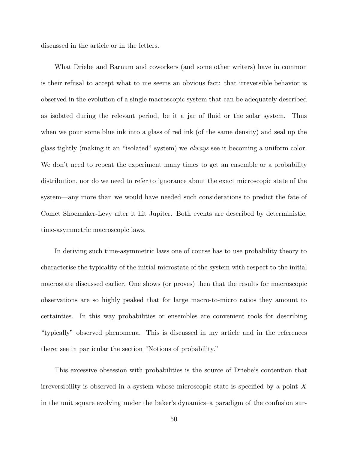discussed in the article or in the letters.

What Driebe and Barnum and coworkers (and some other writers) have in common is their refusal to accept what to me seems an obvious fact: that irreversible behavior is observed in the evolution of a single macroscopic system that can be adequately described as isolated during the relevant period, be it a jar of fluid or the solar system. Thus when we pour some blue ink into a glass of red ink (of the same density) and seal up the glass tightly (making it an "isolated" system) we always see it becoming a uniform color. We don't need to repeat the experiment many times to get an ensemble or a probability distribution, nor do we need to refer to ignorance about the exact microscopic state of the system—any more than we would have needed such considerations to predict the fate of Comet Shoemaker-Levy after it hit Jupiter. Both events are described by deterministic, time-asymmetric macroscopic laws.

In deriving such time-asymmetric laws one of course has to use probability theory to characterise the typicality of the initial microstate of the system with respect to the initial macrostate discussed earlier. One shows (or proves) then that the results for macroscopic observations are so highly peaked that for large macro-to-micro ratios they amount to certainties. In this way probabilities or ensembles are convenient tools for describing "typically" observed phenomena. This is discussed in my article and in the references there; see in particular the section "Notions of probability."

This excessive obsession with probabilities is the source of Driebe's contention that irreversibility is observed in a system whose microscopic state is specified by a point X in the unit square evolving under the baker's dynamics–a paradigm of the confusion sur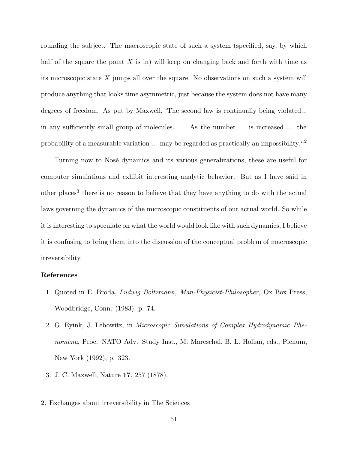rounding the subject. The macroscopic state of such a system (specified, say, by which half of the square the point  $X$  is in) will keep on changing back and forth with time as its microscopic state  $X$  jumps all over the square. No observations on such a system will produce anything that looks time asymmetric, just because the system does not have many degrees of freedom. As put by Maxwell, 'The second law is continually being violated... in any sufficiently small group of molecules. ... As the number ... is increased ... the probability of a measurable variation ... may be regarded as practically an impossibility."<sup>2</sup>

Turning now to Nosé dynamics and its various generalizations, these are useful for computer simulations and exhibit interesting analytic behavior. But as I have said in other places<sup>3</sup> there is no reason to believe that they have anything to do with the actual laws governing the dynamics of the microscopic constituents of our actual world. So while it is interesting to speculate on what the world would look like with such dynamics, I believe it is confusing to bring them into the discussion of the conceptual problem of macroscopic irreversibility.

### **References**

- 1. Quoted in E. Broda, Ludwig Boltzmann, Man-Physicist-Philosopher, Ox Box Press, Woodbridge, Conn. (1983), p. 74.
- 2. G. Eyink, J. Lebowitz, in Microscopic Simulations of Complex Hydrodynamic Phenomena, Proc. NATO Adv. Study Inst., M. Mareschal, B. L. Holian, eds., Plenum, New York (1992), p. 323.
- 3. J. C. Maxwell, Nature **17**, 257 (1878).
- 2. Exchanges about irreversibility in The Sciences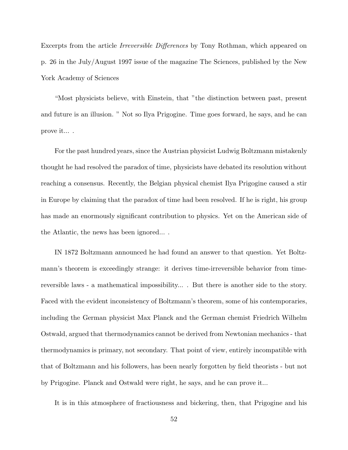Excerpts from the article Irreversible Differences by Tony Rothman, which appeared on p. 26 in the July/August 1997 issue of the magazine The Sciences, published by the New York Academy of Sciences

"Most physicists believe, with Einstein, that "the distinction between past, present and future is an illusion. " Not so Ilya Prigogine. Time goes forward, he says, and he can prove it... .

For the past hundred years, since the Austrian physicist Ludwig Boltzmann mistakenly thought he had resolved the paradox of time, physicists have debated its resolution without reaching a consensus. Recently, the Belgian physical chemist Ilya Prigogine caused a stir in Europe by claiming that the paradox of time had been resolved. If he is right, his group has made an enormously significant contribution to physics. Yet on the American side of the Atlantic, the news has been ignored... .

IN 1872 Boltzmann announced he had found an answer to that question. Yet Boltzmann's theorem is exceedingly strange: it derives time-irreversible behavior from timereversible laws - a mathematical impossibility... . But there is another side to the story. Faced with the evident inconsistency of Boltzmann's theorem, some of his contemporaries, including the German physicist Max Planck and the German chemist Friedrich Wilhelm Ostwald, argued that thermodynamics cannot be derived from Newtonian mechanics - that thermodynamics is primary, not secondary. That point of view, entirely incompatible with that of Boltzmann and his followers, has been nearly forgotten by field theorists - but not by Prigogine. Planck and Ostwald were right, he says, and he can prove it...

It is in this atmosphere of fractiousness and bickering, then, that Prigogine and his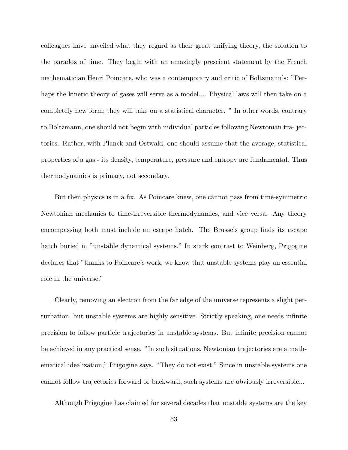colleagues have unveiled what they regard as their great unifying theory, the solution to the paradox of time. They begin with an amazingly prescient statement by the French mathematician Henri Poincare, who was a contemporary and critic of Boltzmann's: "Perhaps the kinetic theory of gases will serve as a model.... Physical laws will then take on a completely new form; they will take on a statistical character. " In other words, contrary to Boltzmann, one should not begin with individual particles following Newtonian tra- jectories. Rather, with Planck and Ostwald, one should assume that the average, statistical properties of a gas - its density, temperature, pressure and entropy are fundamental. Thus thermodynamics is primary, not secondary.

But then physics is in a fix. As Poincare knew, one cannot pass from time-symmetric Newtonian mechanics to time-irreversible thermodynamics, and vice versa. Any theory encompassing both must include an escape hatch. The Brussels group finds its escape hatch buried in "unstable dynamical systems." In stark contrast to Weinberg, Prigogine declares that "thanks to Poincare's work, we know that unstable systems play an essential role in the universe."

Clearly, removing an electron from the far edge of the universe represents a slight perturbation, but unstable systems are highly sensitive. Strictly speaking, one needs infinite precision to follow particle trajectories in unstable systems. But infinite precision cannot be achieved in any practical sense. "In such situations, Newtonian trajectories are a mathematical idealization," Prigogine says. "They do not exist." Since in unstable systems one cannot follow trajectories forward or backward, such systems are obviously irreversible...

Although Prigogine has claimed for several decades that unstable systems are the key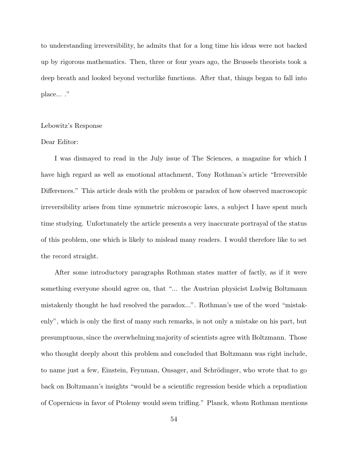to understanding irreversibility, he admits that for a long time his ideas were not backed up by rigorous mathematics. Then, three or four years ago, the Brussels theorists took a deep breath and looked beyond vectorlike functions. After that, things began to fall into place... ."

#### Lebowitz's Response

# Dear Editor:

I was dismayed to read in the July issue of The Sciences, a magazine for which I have high regard as well as emotional attachment, Tony Rothman's article "Irreversible Differences." This article deals with the problem or paradox of how observed macroscopic irreversibility arises from time symmetric microscopic laws, a subject I have spent much time studying. Unfortunately the article presents a very inaccurate portrayal of the status of this problem, one which is likely to mislead many readers. I would therefore like to set the record straight.

After some introductory paragraphs Rothman states matter of factly, as if it were something everyone should agree on, that "... the Austrian physicist Ludwig Boltzmann mistakenly thought he had resolved the paradox...". Rothman's use of the word "mistakenly", which is only the first of many such remarks, is not only a mistake on his part, but presumptuous, since the overwhelming majority of scientists agree with Boltzmann. Those who thought deeply about this problem and concluded that Boltzmann was right include, to name just a few, Einstein, Feynman, Onsager, and Schrödinger, who wrote that to go back on Boltzmann's insights "would be a scientific regression beside which a repudiation of Copernicus in favor of Ptolemy would seem trifling." Planck, whom Rothman mentions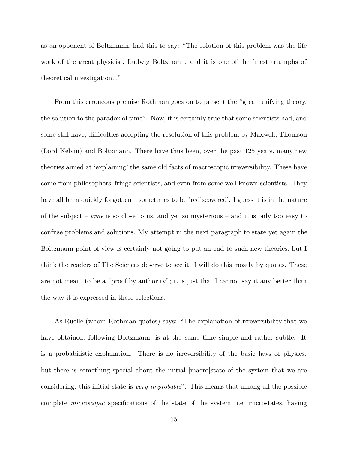as an opponent of Boltzmann, had this to say: "The solution of this problem was the life work of the great physicist, Ludwig Boltzmann, and it is one of the finest triumphs of theoretical investigation..."

From this erroneous premise Rothman goes on to present the "great unifying theory, the solution to the paradox of time". Now, it is certainly true that some scientists had, and some still have, difficulties accepting the resolution of this problem by Maxwell, Thomson (Lord Kelvin) and Boltzmann. There have thus been, over the past 125 years, many new theories aimed at 'explaining' the same old facts of macroscopic irreversibility. These have come from philosophers, fringe scientists, and even from some well known scientists. They have all been quickly forgotten – sometimes to be 'rediscovered'. I guess it is in the nature of the subject – *time* is so close to us, and yet so mysterious – and it is only too easy to confuse problems and solutions. My attempt in the next paragraph to state yet again the Boltzmann point of view is certainly not going to put an end to such new theories, but I think the readers of The Sciences deserve to see it. I will do this mostly by quotes. These are not meant to be a "proof by authority"; it is just that I cannot say it any better than the way it is expressed in these selections.

As Ruelle (whom Rothman quotes) says: "The explanation of irreversibility that we have obtained, following Boltzmann, is at the same time simple and rather subtle. It is a probabilistic explanation. There is no irreversibility of the basic laws of physics, but there is something special about the initial [macro]state of the system that we are considering: this initial state is very improbable". This means that among all the possible complete microscopic specifications of the state of the system, i.e. microstates, having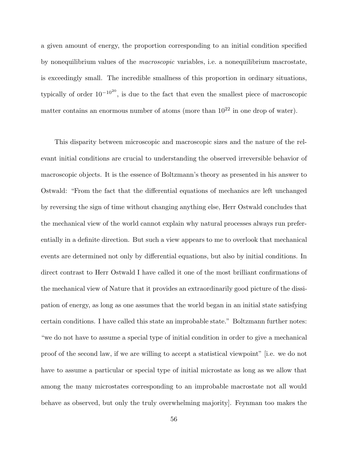a given amount of energy, the proportion corresponding to an initial condition specified by nonequilibrium values of the macroscopic variables, i.e. a nonequilibrium macrostate, is exceedingly small. The incredible smallness of this proportion in ordinary situations, typically of order  $10^{-10^{20}}$ , is due to the fact that even the smallest piece of macroscopic matter contains an enormous number of atoms (more than  $10^{22}$  in one drop of water).

This disparity between microscopic and macroscopic sizes and the nature of the relevant initial conditions are crucial to understanding the observed irreversible behavior of macroscopic objects. It is the essence of Boltzmann's theory as presented in his answer to Ostwald: "From the fact that the differential equations of mechanics are left unchanged by reversing the sign of time without changing anything else, Herr Ostwald concludes that the mechanical view of the world cannot explain why natural processes always run preferentially in a definite direction. But such a view appears to me to overlook that mechanical events are determined not only by differential equations, but also by initial conditions. In direct contrast to Herr Ostwald I have called it one of the most brilliant confirmations of the mechanical view of Nature that it provides an extraordinarily good picture of the dissipation of energy, as long as one assumes that the world began in an initial state satisfying certain conditions. I have called this state an improbable state." Boltzmann further notes: "we do not have to assume a special type of initial condition in order to give a mechanical proof of the second law, if we are willing to accept a statistical viewpoint" [i.e. we do not have to assume a particular or special type of initial microstate as long as we allow that among the many microstates corresponding to an improbable macrostate not all would behave as observed, but only the truly overwhelming majority]. Feynman too makes the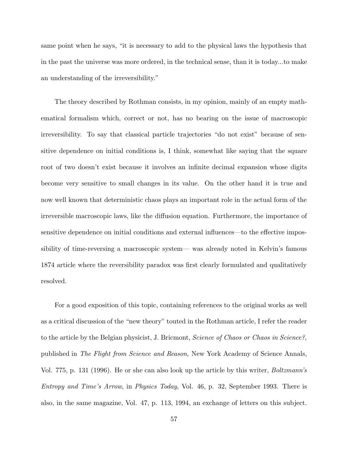same point when he says, "it is necessary to add to the physical laws the hypothesis that in the past the universe was more ordered, in the technical sense, than it is today...to make an understanding of the irreversibility."

The theory described by Rothman consists, in my opinion, mainly of an empty mathematical formalism which, correct or not, has no bearing on the issue of macroscopic irreversibility. To say that classical particle trajectories "do not exist" because of sensitive dependence on initial conditions is, I think, somewhat like saying that the square root of two doesn't exist because it involves an infinite decimal expansion whose digits become very sensitive to small changes in its value. On the other hand it is true and now well known that deterministic chaos plays an important role in the actual form of the irreversible macroscopic laws, like the diffusion equation. Furthermore, the importance of sensitive dependence on initial conditions and external influences—to the effective impossibility of time-reversing a macroscopic system— was already noted in Kelvin's famous 1874 article where the reversibility paradox was first clearly formulated and qualitatively resolved.

For a good exposition of this topic, containing references to the original works as well as a critical discussion of the "new theory" touted in the Rothman article, I refer the reader to the article by the Belgian physicist, J. Bricmont, *Science of Chaos or Chaos in Science?*, published in The Flight from Science and Reason, New York Academy of Science Annals, Vol. 775, p. 131 (1996). He or she can also look up the article by this writer, *Boltzmann's* Entropy and Time's Arrow, in Physics Today, Vol. 46, p. 32, September 1993. There is also, in the same magazine, Vol. 47, p. 113, 1994, an exchange of letters on this subject.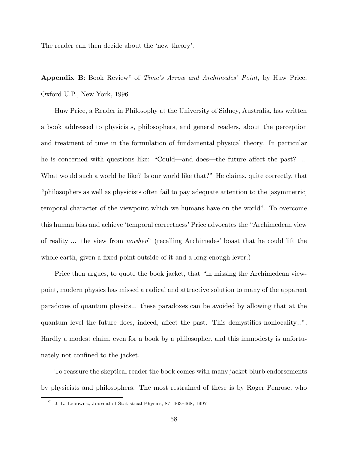The reader can then decide about the 'new theory'.

Appendix B: Book Review<sup>e</sup> of Time's Arrow and Archimedes' Point, by Huw Price, Oxford U.P., New York, 1996

Huw Price, a Reader in Philosophy at the University of Sidney, Australia, has written a book addressed to physicists, philosophers, and general readers, about the perception and treatment of time in the formulation of fundamental physical theory. In particular he is concerned with questions like: "Could—and does—the future affect the past? ... What would such a world be like? Is our world like that?" He claims, quite correctly, that "philosophers as well as physicists often fail to pay adequate attention to the [asymmetric] temporal character of the viewpoint which we humans have on the world". To overcome this human bias and achieve 'temporal correctness' Price advocates the "Archimedean view of reality ... the view from nowhen" (recalling Archimedes' boast that he could lift the whole earth, given a fixed point outside of it and a long enough lever.)

Price then argues, to quote the book jacket, that "in missing the Archimedean viewpoint, modern physics has missed a radical and attractive solution to many of the apparent paradoxes of quantum physics... these paradoxes can be avoided by allowing that at the quantum level the future does, indeed, affect the past. This demystifies nonlocality...". Hardly a modest claim, even for a book by a philosopher, and this immodesty is unfortunately not confined to the jacket.

To reassure the skeptical reader the book comes with many jacket blurb endorsements by physicists and philosophers. The most restrained of these is by Roger Penrose, who

 $e$  J. L. Lebowitz, Journal of Statistical Physics, 87, 463–468, 1997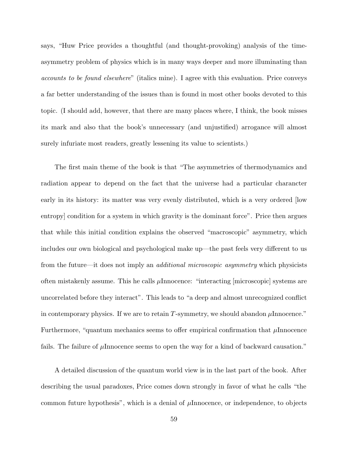says, "Huw Price provides a thoughtful (and thought-provoking) analysis of the timeasymmetry problem of physics which is in many ways deeper and more illuminating than accounts to be found elsewhere" (italics mine). I agree with this evaluation. Price conveys a far better understanding of the issues than is found in most other books devoted to this topic. (I should add, however, that there are many places where, I think, the book misses its mark and also that the book's unnecessary (and unjustified) arrogance will almost surely infuriate most readers, greatly lessening its value to scientists.)

The first main theme of the book is that "The asymmetries of thermodynamics and radiation appear to depend on the fact that the universe had a particular charancter early in its history: its matter was very evenly distributed, which is a very ordered [low entropy] condition for a system in which gravity is the dominant force". Price then argues that while this initial condition explains the observed "macroscopic" asymmetry, which includes our own biological and psychological make up—the past feels very different to us from the future—it does not imply an *additional microscopic asymmetry* which physicists often mistakenly assume. This he calls  $\mu$ Innocence: "interacting [microscopic] systems are uncorrelated before they interact". This leads to "a deep and almost unrecognized conflict in contemporary physics. If we are to retain T-symmetry, we should abandon  $\mu$ Innocence." Furthermore, "quantum mechanics seems to offer empirical confirmation that  $\mu$ Innocence fails. The failure of  $\mu$ Innocence seems to open the way for a kind of backward causation."

A detailed discussion of the quantum world view is in the last part of the book. After describing the usual paradoxes, Price comes down strongly in favor of what he calls "the common future hypothesis", which is a denial of  $\mu$ Innocence, or independence, to objects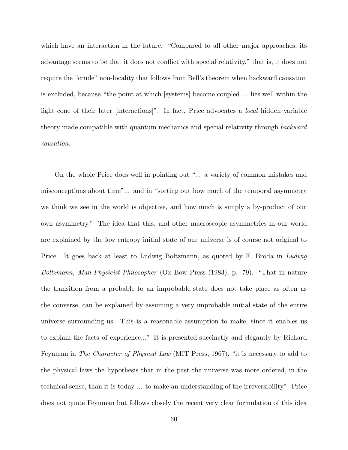which have an interaction in the future. "Compared to all other major approaches, its advantage seems to be that it does not conflict with special relativity," that is, it does not require the "crude" non-locality that follows from Bell's theorem when backward causation is excluded, because "the point at which [systems] become coupled ... lies well within the light cone of their later [interactions]". In fact, Price advocates a local hidden variable theory made compatible with quantum mechanics and special relativity through backward causation.

On the whole Price does well in pointing out "... a variety of common mistakes and misconceptions about time"... and in "sorting out how much of the temporal asymmetry we think we see in the world is objective, and how much is simply a by-product of our own asymmetry." The idea that this, and other macroscopic asymmetries in our world are explained by the low entropy initial state of our universe is of course not original to Price. It goes back at least to Ludwig Boltzmann, as quoted by E. Broda in Ludwig Boltzmann, Man-Physicist-Philosopher (Ox Bow Press (1983), p. 79). "That in nature the transition from a probable to an improbable state does not take place as often as the converse, can be explained by assuming a very improbable initial state of the entire universe surrounding us. This is a reasonable assumption to make, since it enables us to explain the facts of experience..." It is presented succinctly and elegantly by Richard Feynman in The Character of Physical Law (MIT Press, 1967), "it is necessary to add to the physical laws the hypothesis that in the past the universe was more ordered, in the technical sense, than it is today ... to make an understanding of the irreversibility". Price does not quote Feynman but follows closely the recent very clear formulation of this idea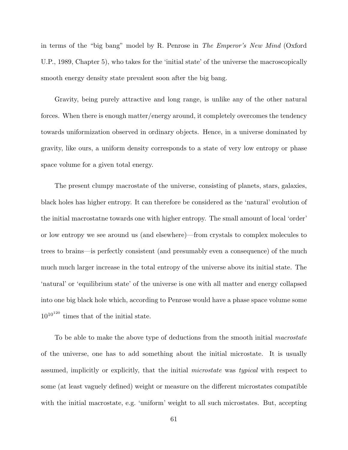in terms of the "big bang" model by R. Penrose in The Emperor's New Mind (Oxford U.P., 1989, Chapter 5), who takes for the 'initial state' of the universe the macroscopically smooth energy density state prevalent soon after the big bang.

Gravity, being purely attractive and long range, is unlike any of the other natural forces. When there is enough matter/energy around, it completely overcomes the tendency towards uniformization observed in ordinary objects. Hence, in a universe dominated by gravity, like ours, a uniform density corresponds to a state of very low entropy or phase space volume for a given total energy.

The present clumpy macrostate of the universe, consisting of planets, stars, galaxies, black holes has higher entropy. It can therefore be considered as the 'natural' evolution of the initial macrostatne towards one with higher entropy. The small amount of local 'order' or low entropy we see around us (and elsewhere)—from crystals to complex molecules to trees to brains—is perfectly consistent (and presumably even a consequence) of the much much much larger increase in the total entropy of the universe above its initial state. The 'natural' or 'equilibrium state' of the universe is one with all matter and energy collapsed into one big black hole which, according to Penrose would have a phase space volume some  $10^{10^{120}}$  times that of the initial state.

To be able to make the above type of deductions from the smooth initial *macrostate* of the universe, one has to add something about the initial microstate. It is usually assumed, implicitly or explicitly, that the initial microstate was typical with respect to some (at least vaguely defined) weight or measure on the different microstates compatible with the initial macrostate, e.g. 'uniform' weight to all such microstates. But, accepting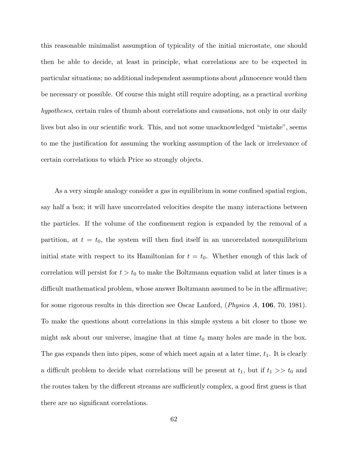this reasonable minimalist assumption of typicality of the initial microstate, one should then be able to decide, at least in principle, what correlations are to be expected in particular situations; no additional independent assumptions about  $\mu$ Innocence would then be necessary or possible. Of course this might still require adopting, as a practical working hypotheses, certain rules of thumb about correlations and causations, not only in our daily lives but also in our scientific work. This, and not some unacknowledged "mistake", seems to me the justification for assuming the working assumption of the lack or irrelevance of certain correlations to which Price so strongly objects.

As a very simple analogy consider a gas in equilibrium in some confined spatial region, say half a box; it will have uncorrelated velocities despite the many interactions between the particles. If the volume of the confinement region is expanded by the removal of a partition, at  $t = t_0$ , the system will then find itself in an uncorrelated nonequilibrium initial state with respect to its Hamiltonian for  $t = t_0$ . Whether enough of this lack of correlation will persist for  $t>t_0$  to make the Boltzmann equation valid at later times is a difficult mathematical problem, whose answer Boltzmann assumed to be in the affirmative; for some rigorous results in this direction see Oscar Lanford, (Physica A, **106**, 70, 1981). To make the questions about correlations in this simple system a bit closer to those we might ask about our universe, imagine that at time  $t_0$  many holes are made in the box. The gas expands then into pipes, some of which meet again at a later time,  $t_1$ . It is clearly a difficult problem to decide what correlations will be present at  $t_1$ , but if  $t_1 >> t_0$  and the routes taken by the different streams are sufficiently complex, a good first guess is that there are no significant correlations.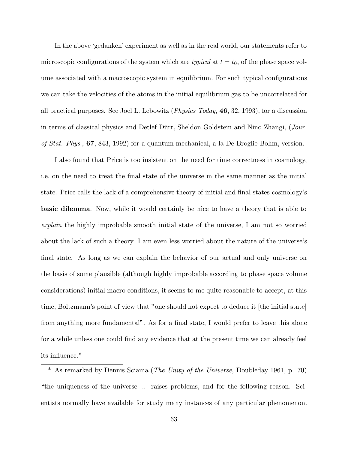In the above 'gedanken' experiment as well as in the real world, our statements refer to microscopic configurations of the system which are *typical* at  $t = t_0$ , of the phase space volume associated with a macroscopic system in equilibrium. For such typical configurations we can take the velocities of the atoms in the initial equilibrium gas to be uncorrelated for all practical purposes. See Joel L. Lebowitz (Physics Today, **46**, 32, 1993), for a discussion in terms of classical physics and Detlef Dürr, Sheldon Goldstein and Nino Zhangi, (Jour. of Stat. Phys., **67**, 843, 1992) for a quantum mechanical, a la De Broglie-Bohm, version.

I also found that Price is too insistent on the need for time correctness in cosmology, i.e. on the need to treat the final state of the universe in the same manner as the initial state. Price calls the lack of a comprehensive theory of initial and final states cosmology's **basic dilemma**. Now, while it would certainly be nice to have a theory that is able to explain the highly improbable smooth initial state of the universe, I am not so worried about the lack of such a theory. I am even less worried about the nature of the universe's final state. As long as we can explain the behavior of our actual and only universe on the basis of some plausible (although highly improbable according to phase space volume considerations) initial macro conditions, it seems to me quite reasonable to accept, at this time, Boltzmann's point of view that "one should not expect to deduce it [the initial state] from anything more fundamental". As for a final state, I would prefer to leave this alone for a while unless one could find any evidence that at the present time we can already feel its influence.\*

<sup>\*</sup> As remarked by Dennis Sciama (The Unity of the Universe, Doubleday 1961, p. 70) "the uniqueness of the universe ... raises problems, and for the following reason. Scientists normally have available for study many instances of any particular phenomenon.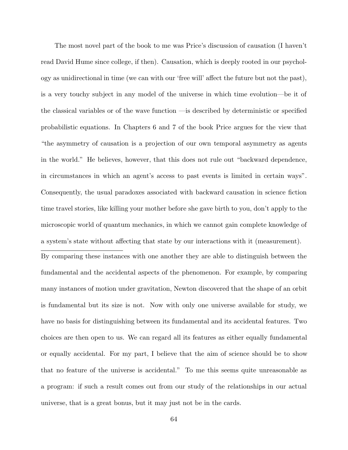The most novel part of the book to me was Price's discussion of causation (I haven't read David Hume since college, if then). Causation, which is deeply rooted in our psychology as unidirectional in time (we can with our 'free will' affect the future but not the past), is a very touchy subject in any model of the universe in which time evolution—be it of the classical variables or of the wave function —is described by deterministic or specified probabilistic equations. In Chapters 6 and 7 of the book Price argues for the view that "the asymmetry of causation is a projection of our own temporal asymmetry as agents in the world." He believes, however, that this does not rule out "backward dependence, in circumstances in which an agent's access to past events is limited in certain ways". Consequently, the usual paradoxes associated with backward causation in science fiction time travel stories, like killing your mother before she gave birth to you, don't apply to the microscopic world of quantum mechanics, in which we cannot gain complete knowledge of a system's state without affecting that state by our interactions with it (measurement).

By comparing these instances with one another they are able to distinguish between the fundamental and the accidental aspects of the phenomenon. For example, by comparing many instances of motion under gravitation, Newton discovered that the shape of an orbit is fundamental but its size is not. Now with only one universe available for study, we have no basis for distinguishing between its fundamental and its accidental features. Two choices are then open to us. We can regard all its features as either equally fundamental or equally accidental. For my part, I believe that the aim of science should be to show that no feature of the universe is accidental." To me this seems quite unreasonable as a program: if such a result comes out from our study of the relationships in our actual universe, that is a great bonus, but it may just not be in the cards.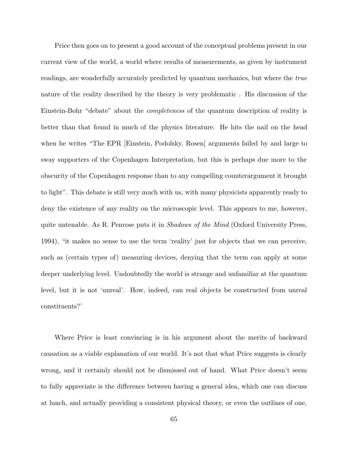Price then goes on to present a good account of the conceptual problems present in our current view of the world, a world where results of measurements, as given by instrument readings, are wonderfully accurately predicted by quantum mechanics, but where the true nature of the reality described by the theory is very problematic . His discussion of the Einstein-Bohr "debate" about the completeness of the quantum description of reality is better than that found in much of the physics literature. He hits the nail on the head when he writes "The EPR [Einstein, Podolsky, Rosen] arguments failed by and large to sway supporters of the Copenhagen Interpretation, but this is perhaps due more to the obscurity of the Copenhagen response than to any compelling counterargument it brought to light". This debate is still very much with us, with many physicists apparently ready to deny the existence of any reality on the microscopic level. This appears to me, however, quite untenable. As R. Penrose puts it in *Shadows of the Mind* (Oxford University Press, 1994), "it makes no sense to use the term 'reality' just for objects that we can perceive, such as (certain types of) measuring devices, denying that the term can apply at some deeper underlying level. Undoubtedly the world is strange and unfamiliar at the quantum level, but it is not 'unreal'. How, indeed, can real objects be constructed from unreal constituents?'

Where Price is least convincing is in his argument about the merits of backward causation as a viable explanation of our world. It's not that what Price suggests is clearly wrong, and it certainly should not be dismissed out of hand. What Price doesn't seem to fully appreciate is the difference between having a general idea, which one can discuss at lunch, and actually providing a consistent physical theory, or even the outlines of one,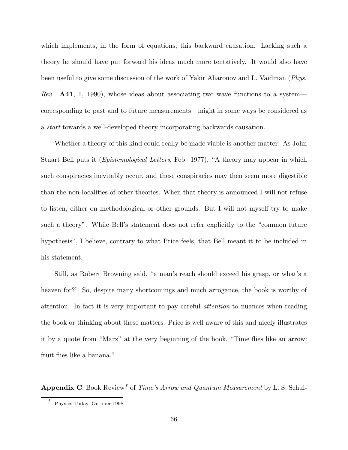which implements, in the form of equations, this backward causation. Lacking such a theory he should have put forward his ideas much more tentatively. It would also have been useful to give some discussion of the work of Yakir Aharonov and L. Vaidman (Phys. Rev. **A41**, 1, 1990), whose ideas about associating two wave functions to a system corresponding to past and to future measurements—might in some ways be considered as a start towards a well-developed theory incorporating backwards causation.

Whether a theory of this kind could really be made viable is another matter. As John Stuart Bell puts it (Epistemological Letters, Feb. 1977), "A theory may appear in which such conspiracies inevitably occur, and these conspiracies may then seem more digestible than the non-localities of other theories. When that theory is announced I will not refuse to listen, either on methodological or other grounds. But I will not myself try to make such a theory". While Bell's statement does not refer explicitly to the "common future hypothesis", I believe, contrary to what Price feels, that Bell meant it to be included in his statement.

Still, as Robert Browning said, "a man's reach should exceed his grasp, or what's a heaven for?" So, despite many shortcomings and much arrogance, the book is worthy of attention. In fact it is very important to pay careful attention to nuances when reading the book or thinking about these matters. Price is well aware of this and nicely illustrates it by a quote from "Marx" at the very beginning of the book, "Time flies like an arrow: fruit flies like a banana."

**Appendix C**: Book Review<sup>f</sup> of *Time's Arrow and Quantum Measurement* by L. S. Schul-

 $f$  Physics Today, October 1998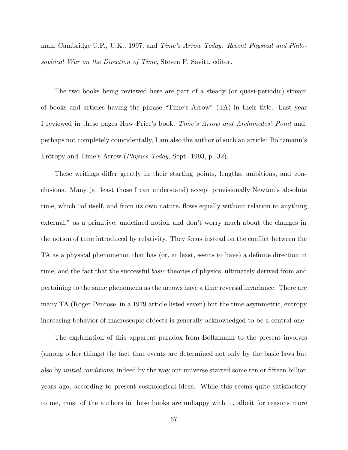man, Cambridge U.P., U.K., 1997, and Time's Arrow Today: Recent Physical and Philosophical War on the Direction of Time, Steven F. Savitt, editor.

The two books being reviewed here are part of a steady (or quasi-periodic) stream of books and articles having the phrase "Time's Arrow" (TA) in their title. Last year I reviewed in these pages Huw Price's book, Time's Arrow and Archimedes' Point and, perhaps not completely coincidentally, I am also the author of such an article: Boltzmann's Entropy and Time's Arrow (Physics Today, Sept. 1993, p. 32).

These writings differ greatly in their starting points, lengths, ambitions, and conclusions. Many (at least those I can understand) accept provisionally Newton's absolute time, which "of itself, and from its own nature, flows equally without relation to anything external," as a primitive, undefined notion and don't worry much about the changes in the notion of time introduced by relativity. They focus instead on the conflict between the TA as a physical phenomenon that has (or, at least, seems to have) a definite direction in time, and the fact that the successful *basic* theories of physics, ultimately derived from and pertaining to the same phenomena as the arrows have a time reversal invariance. There are many TA (Roger Penrose, in a 1979 article listed seven) but the time asymmetric, entropy increasing behavior of macroscopic objects is generally acknowledged to be a central one.

The explanation of this apparent paradox from Boltzmann to the present involves (among other things) the fact that events are determined not only by the basic laws but also by initial conditions, indeed by the way our universe started some ten or fifteen billion years ago, according to present cosmological ideas. While this seems quite satisfactory to me, most of the authors in these books are unhappy with it, albeit for reasons more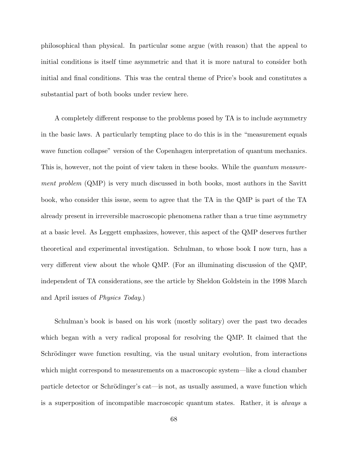philosophical than physical. In particular some argue (with reason) that the appeal to initial conditions is itself time asymmetric and that it is more natural to consider both initial and final conditions. This was the central theme of Price's book and constitutes a substantial part of both books under review here.

A completely different response to the problems posed by TA is to include asymmetry in the basic laws. A particularly tempting place to do this is in the "measurement equals wave function collapse" version of the Copenhagen interpretation of quantum mechanics. This is, however, not the point of view taken in these books. While the *quantum measure*ment problem (QMP) is very much discussed in both books, most authors in the Savitt book, who consider this issue, seem to agree that the TA in the QMP is part of the TA already present in irreversible macroscopic phenomena rather than a true time asymmetry at a basic level. As Leggett emphasizes, however, this aspect of the QMP deserves further theoretical and experimental investigation. Schulman, to whose book I now turn, has a very different view about the whole QMP. (For an illuminating discussion of the QMP, independent of TA considerations, see the article by Sheldon Goldstein in the 1998 March and April issues of Physics Today.)

Schulman's book is based on his work (mostly solitary) over the past two decades which began with a very radical proposal for resolving the QMP. It claimed that the Schrödinger wave function resulting, via the usual unitary evolution, from interactions which might correspond to measurements on a macroscopic system—like a cloud chamber particle detector or Schrödinger's cat—is not, as usually assumed, a wave function which is a superposition of incompatible macroscopic quantum states. Rather, it is always a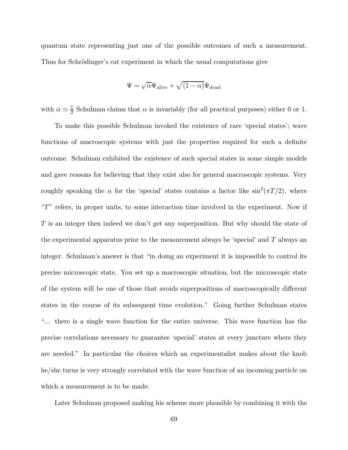quantum state representing just one of the possible outcomes of such a measurement. Thus for Schrödinger's cat experiment in which the usual computations give

$$
\Psi = \sqrt{\alpha} \Psi_{\text{alive}} + \sqrt{(1-\alpha)} \Psi_{\text{dead}}
$$

with  $\alpha \simeq \frac{1}{2}$  Schulman claims that  $\alpha$  is invariably (for all practical purposes) either 0 or 1.

To make this possible Schulman invoked the existence of rare 'special states'; wave functions of macroscopic systems with just the properties required for such a definite outcome. Schulman exhibited the existence of such special states in some simple models and gave reasons for believing that they exist also for general macroscopic systems. Very roughly speaking the  $\alpha$  for the 'special' states contains a factor like  $\sin^2(\pi T/2)$ , where "T" refers, in proper units, to some interaction time involved in the experiment. Now if T is an integer then indeed we don't get any superposition. But why should the state of the experimental apparatus prior to the measurement always be 'special' and T always an integer. Schulman's answer is that "in doing an experiment it is impossible to control its precise microscopic state. You set up a macroscopic situation, but the microscopic state of the system will be one of those that avoids superpositions of macroscopically different states in the course of its subsequent time evolution." Going further Schulman states "... there is a single wave function for the entire universe. This wave function has the precise correlations necessary to guarantee 'special' states at every juncture where they are needed." In particular the choices which an experimentalist makes about the knob he/she turns is very strongly correlated with the wave function of an incoming particle on which a measurement is to be made.

Later Schulman proposed making his scheme more plausible by combining it with the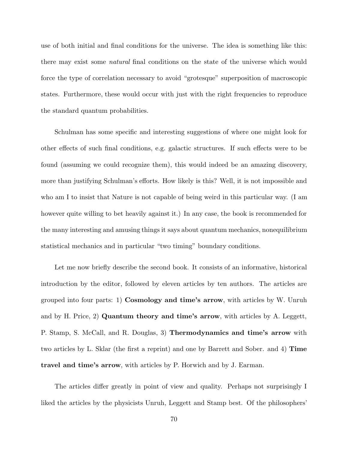use of both initial and final conditions for the universe. The idea is something like this: there may exist some natural final conditions on the state of the universe which would force the type of correlation necessary to avoid "grotesque" superposition of macroscopic states. Furthermore, these would occur with just with the right frequencies to reproduce the standard quantum probabilities.

Schulman has some specific and interesting suggestions of where one might look for other effects of such final conditions, e.g. galactic structures. If such effects were to be found (assuming we could recognize them), this would indeed be an amazing discovery, more than justifying Schulman's efforts. How likely is this? Well, it is not impossible and who am I to insist that Nature is not capable of being weird in this particular way. (I am however quite willing to bet heavily against it.) In any case, the book is recommended for the many interesting and amusing things it says about quantum mechanics, nonequilibrium statistical mechanics and in particular "two timing" boundary conditions.

Let me now briefly describe the second book. It consists of an informative, historical introduction by the editor, followed by eleven articles by ten authors. The articles are grouped into four parts: 1) **Cosmology and time's arrow**, with articles by W. Unruh and by H. Price, 2) **Quantum theory and time's arrow**, with articles by A. Leggett, P. Stamp, S. McCall, and R. Douglas, 3) **Thermodynamics and time's arrow** with two articles by L. Sklar (the first a reprint) and one by Barrett and Sober. and 4) **Time travel and time's arrow**, with articles by P. Horwich and by J. Earman.

The articles differ greatly in point of view and quality. Perhaps not surprisingly I liked the articles by the physicists Unruh, Leggett and Stamp best. Of the philosophers'